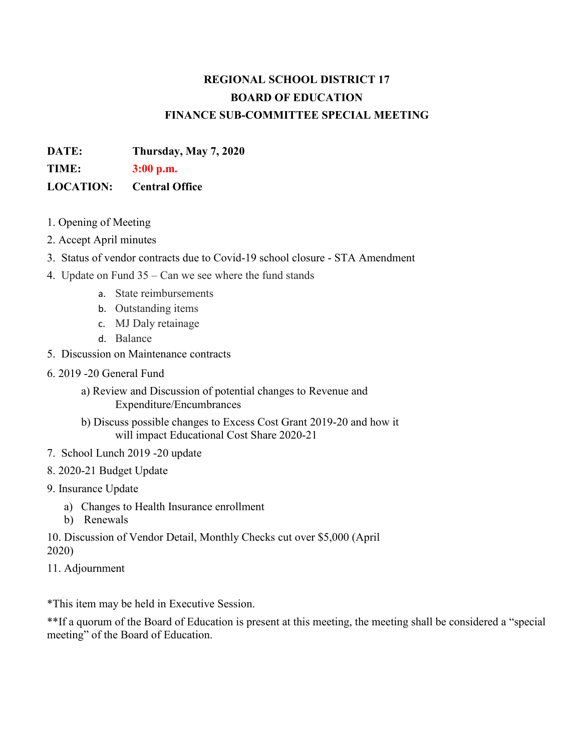#### **REGIONAL SCHOOL DISTRICT 17 BOARD OF EDUCATION FINANCE SUB-COMMITTEE SPECIAL MEETING**

**DATE: Thursday, May 7, 2020** 

**TIME: 3:00 p.m.**

#### **LOCATION: Central Office**

- 1. Opening of Meeting
- 2. Accept April minutes
- 3. Status of vendor contracts due to Covid-19 school closure STA Amendment
- 4. Update on Fund 35 Can we see where the fund stands
	- a. State reimbursements
	- b. Outstanding items
	- c. MJ Daly retainage
	- d. Balance
- 5. Discussion on Maintenance contracts
- 6. 2019 -20 General Fund
	- a) Review and Discussion of potential changes to Revenue and Expenditure/Encumbrances
	- b) Discuss possible changes to Excess Cost Grant 2019-20 and how it will impact Educational Cost Share 2020-21
- 7. School Lunch 2019 -20 update
- 8. 2020-21 Budget Update
- 9. Insurance Update
	- a) Changes to Health Insurance enrollment
	- b) Renewals

10. Discussion of Vendor Detail, Monthly Checks cut over \$5,000 (April 2020)

11. Adjournment

\*This item may be held in Executive Session.

\*\*If a quorum of the Board of Education is present at this meeting, the meeting shall be considered a "special meeting" of the Board of Education.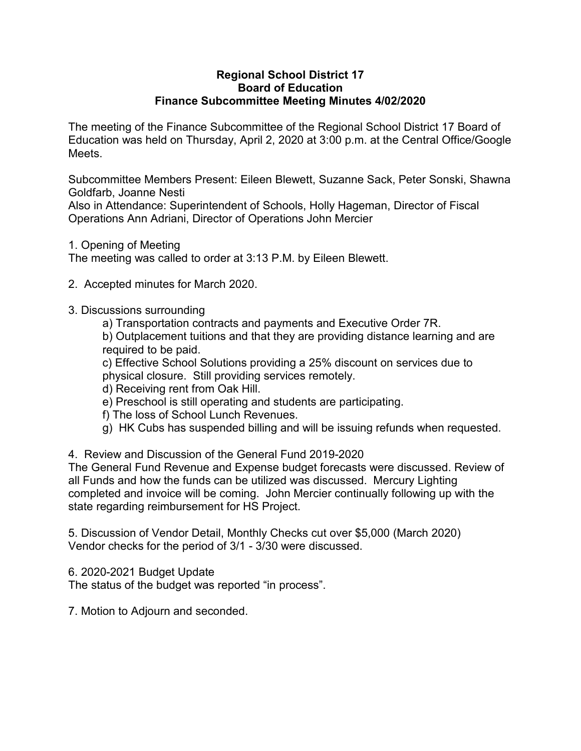#### **Regional School District 17 Board of Education Finance Subcommittee Meeting Minutes 4/02/2020**

The meeting of the Finance Subcommittee of the Regional School District 17 Board of Education was held on Thursday, April 2, 2020 at 3:00 p.m. at the Central Office/Google Meets.

Subcommittee Members Present: Eileen Blewett, Suzanne Sack, Peter Sonski, Shawna Goldfarb, Joanne Nesti

Also in Attendance: Superintendent of Schools, Holly Hageman, Director of Fiscal Operations Ann Adriani, Director of Operations John Mercier

1. Opening of Meeting

The meeting was called to order at 3:13 P.M. by Eileen Blewett.

- 2. Accepted minutes for March 2020.
- 3. Discussions surrounding
	- a) Transportation contracts and payments and Executive Order 7R.

b) Outplacement tuitions and that they are providing distance learning and are required to be paid.

c) Effective School Solutions providing a 25% discount on services due to physical closure. Still providing services remotely.

- d) Receiving rent from Oak Hill.
- e) Preschool is still operating and students are participating.
- f) The loss of School Lunch Revenues.
- g) HK Cubs has suspended billing and will be issuing refunds when requested.
- 4. Review and Discussion of the General Fund 2019-2020

The General Fund Revenue and Expense budget forecasts were discussed. Review of all Funds and how the funds can be utilized was discussed. Mercury Lighting completed and invoice will be coming. John Mercier continually following up with the state regarding reimbursement for HS Project.

5. Discussion of Vendor Detail, Monthly Checks cut over \$5,000 (March 2020) Vendor checks for the period of 3/1 - 3/30 were discussed.

6. 2020-2021 Budget Update

The status of the budget was reported "in process".

7. Motion to Adjourn and seconded.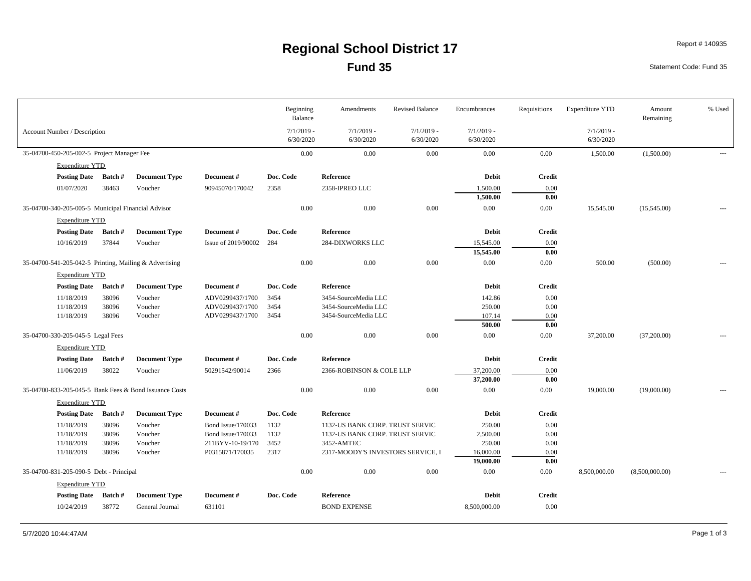#### **Fund 35 Regional School District 17** Report # 140935

Statement Code: Fund 35

|                                                    |                |                                                        |                         | Beginning<br>Balance      | Amendments                        | <b>Revised Balance</b>    | Encumbrances              | Requisitions     | <b>Expenditure YTD</b>    | Amount<br>Remaining | % Used |
|----------------------------------------------------|----------------|--------------------------------------------------------|-------------------------|---------------------------|-----------------------------------|---------------------------|---------------------------|------------------|---------------------------|---------------------|--------|
| <b>Account Number / Description</b>                |                |                                                        |                         | $7/1/2019$ -<br>6/30/2020 | $7/1/2019$ -<br>6/30/2020         | $7/1/2019$ -<br>6/30/2020 | $7/1/2019$ -<br>6/30/2020 |                  | $7/1/2019$ -<br>6/30/2020 |                     |        |
| 35-04700-450-205-002-5 Project Manager Fee         |                |                                                        |                         | 0.00                      | 0.00                              | $0.00\,$                  | $0.00\,$                  | $0.00\,$         | 1,500.00                  | (1,500.00)          | $---$  |
| <b>Expenditure YTD</b>                             |                |                                                        |                         |                           |                                   |                           |                           |                  |                           |                     |        |
| Posting Date Batch #                               |                | <b>Document Type</b>                                   | Document#               | Doc. Code                 | Reference                         |                           | <b>Debit</b>              | <b>Credit</b>    |                           |                     |        |
| 01/07/2020                                         | 38463          | Voucher                                                | 90945070/170042         | 2358                      | 2358-IPREO LLC                    |                           | 1,500.00                  | 0.00             |                           |                     |        |
|                                                    |                |                                                        |                         |                           |                                   |                           | 1,500.00                  | 0.00             |                           |                     |        |
| 35-04700-340-205-005-5 Municipal Financial Advisor |                |                                                        |                         | 0.00                      | 0.00                              | 0.00                      | 0.00                      | $0.00\,$         | 15,545.00                 | (15,545.00)         | $---$  |
| <b>Expenditure YTD</b>                             |                |                                                        |                         |                           |                                   |                           |                           |                  |                           |                     |        |
| Posting Date Batch #                               |                | <b>Document Type</b>                                   | Document#               | Doc. Code                 | Reference                         |                           | <b>Debit</b>              | <b>Credit</b>    |                           |                     |        |
| 10/16/2019                                         | 37844          | Voucher                                                | Issue of 2019/90002 284 |                           | 284-DIXWORKS LLC                  |                           | 15,545.00                 | 0.00             |                           |                     |        |
|                                                    |                |                                                        |                         |                           |                                   |                           | 15,545.00                 | 0.00             |                           |                     |        |
|                                                    |                | 35-04700-541-205-042-5 Printing, Mailing & Advertising |                         | 0.00                      | 0.00                              | 0.00                      | 0.00                      | $0.00\,$         | 500.00                    | (500.00)            |        |
| <b>Expenditure YTD</b>                             |                |                                                        |                         |                           |                                   |                           |                           |                  |                           |                     |        |
| Posting Date Batch #                               |                | <b>Document Type</b>                                   | Document#               | Doc. Code                 | Reference                         |                           | <b>Debit</b>              | <b>Credit</b>    |                           |                     |        |
| 11/18/2019                                         | 38096          | Voucher                                                | ADV0299437/1700         | 3454                      | 3454-SourceMedia LLC              |                           | 142.86                    | 0.00             |                           |                     |        |
| 11/18/2019                                         | 38096          | Voucher                                                | ADV0299437/1700         | 3454                      | 3454-SourceMedia LLC              |                           | 250.00                    | 0.00             |                           |                     |        |
| 11/18/2019                                         | 38096          | Voucher                                                | ADV0299437/1700         | 3454                      | 3454-SourceMedia LLC              |                           | 107.14<br>500.00          | 0.00             |                           |                     |        |
| 35-04700-330-205-045-5 Legal Fees                  |                |                                                        |                         | 0.00                      | 0.00                              | $0.00\,$                  | 0.00                      | 0.00<br>$0.00\,$ | 37,200.00                 | (37,200.00)         |        |
|                                                    |                |                                                        |                         |                           |                                   |                           |                           |                  |                           |                     |        |
| <b>Expenditure YTD</b>                             |                |                                                        |                         |                           |                                   |                           |                           |                  |                           |                     |        |
| Posting Date Batch #                               |                | <b>Document Type</b>                                   | Document#               | Doc. Code                 | Reference                         |                           | <b>Debit</b>              | <b>Credit</b>    |                           |                     |        |
| 11/06/2019                                         | 38022          | Voucher                                                | 50291542/90014          | 2366                      | 2366-ROBINSON & COLE LLP          |                           | 37,200.00<br>37,200.00    | 0.00<br>0.00     |                           |                     |        |
|                                                    |                | 35-04700-833-205-045-5 Bank Fees & Bond Issuance Costs |                         | 0.00                      | 0.00                              | 0.00                      | 0.00                      | $0.00\,$         | 19,000.00                 | (19,000.00)         |        |
| <b>Expenditure YTD</b>                             |                |                                                        |                         |                           |                                   |                           |                           |                  |                           |                     |        |
| <b>Posting Date</b>                                | Batch #        | <b>Document Type</b>                                   | Document#               | Doc. Code                 | Reference                         |                           | <b>Debit</b>              | <b>Credit</b>    |                           |                     |        |
| 11/18/2019                                         | 38096          | Voucher                                                | Bond Issue/170033       | 1132                      | 1132-US BANK CORP. TRUST SERVIC   |                           | 250.00                    | 0.00             |                           |                     |        |
| 11/18/2019                                         | 38096          | Voucher                                                | Bond Issue/170033       | 1132                      | 1132-US BANK CORP. TRUST SERVIC   |                           | 2,500.00                  | 0.00             |                           |                     |        |
| 11/18/2019                                         | 38096          | Voucher                                                | 211BYV-10-19/170        | 3452                      | 3452-AMTEC                        |                           | 250.00                    | 0.00             |                           |                     |        |
| 11/18/2019                                         | 38096          | Voucher                                                | P0315871/170035         | 2317                      | 2317-MOODY'S INVESTORS SERVICE, I |                           | 16,000.00                 | 0.00             |                           |                     |        |
|                                                    |                |                                                        |                         |                           |                                   |                           | 19,000.00                 | 0.00             |                           |                     |        |
| 35-04700-831-205-090-5 Debt - Principal            |                |                                                        |                         | 0.00                      | 0.00                              | 0.00                      | 0.00                      | $0.00\,$         | 8,500,000.00              | (8,500,000.00)      | $---$  |
| <b>Expenditure YTD</b>                             |                |                                                        |                         |                           |                                   |                           |                           |                  |                           |                     |        |
| <b>Posting Date</b>                                | <b>Batch</b> # | <b>Document Type</b>                                   | Document#               | Doc. Code                 | Reference                         |                           | <b>Debit</b>              | <b>Credit</b>    |                           |                     |        |
| 10/24/2019                                         | 38772          | General Journal                                        | 631101                  |                           | <b>BOND EXPENSE</b>               |                           | 8,500,000.00              | 0.00             |                           |                     |        |
|                                                    |                |                                                        |                         |                           |                                   |                           |                           |                  |                           |                     |        |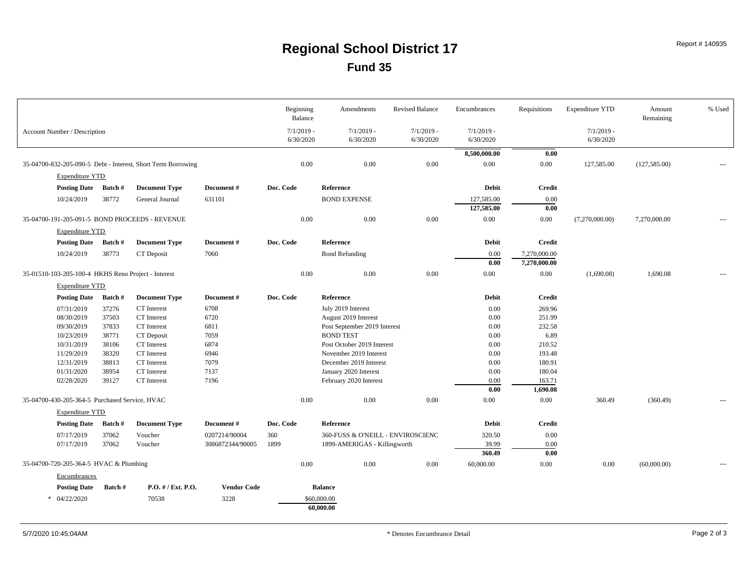#### **Fund 35 Regional School District 17** Report # 140935

|                                                     |         |                                                              |                    | Beginning<br>Balance | Amendments                        | <b>Revised Balance</b> | Encumbrances             | Requisitions       | <b>Expenditure YTD</b> | Amount<br>Remaining | % Used |
|-----------------------------------------------------|---------|--------------------------------------------------------------|--------------------|----------------------|-----------------------------------|------------------------|--------------------------|--------------------|------------------------|---------------------|--------|
| Account Number / Description                        |         |                                                              |                    | $7/1/2019$ -         | $7/1/2019$ -                      | $7/1/2019$ -           | $7/1/2019$ -             |                    | $7/1/2019$ -           |                     |        |
|                                                     |         |                                                              |                    | 6/30/2020            | 6/30/2020                         | 6/30/2020              | 6/30/2020                |                    | 6/30/2020              |                     |        |
|                                                     |         |                                                              |                    |                      |                                   |                        | 8,500,000.00             | 0.00               |                        |                     |        |
|                                                     |         | 35-04700-832-205-090-5 Debt - Interest, Short Term Borrowing |                    | 0.00                 | 0.00                              | 0.00                   | $0.00\,$                 | $0.00\,$           | 127,585.00             | (127, 585.00)       |        |
| <b>Expenditure YTD</b>                              |         |                                                              |                    |                      |                                   |                        |                          |                    |                        |                     |        |
|                                                     |         |                                                              |                    | Doc. Code            |                                   |                        |                          |                    |                        |                     |        |
| Posting Date Batch #                                |         | <b>Document Type</b>                                         | Document#          |                      | Reference                         |                        | <b>Debit</b>             | <b>Credit</b>      |                        |                     |        |
| 10/24/2019                                          | 38772   | General Journal                                              | 631101             |                      | <b>BOND EXPENSE</b>               |                        | 127,585.00<br>127,585.00 | 0.00<br>0.00       |                        |                     |        |
|                                                     |         | 35-04700-191-205-091-5 BOND PROCEEDS - REVENUE               |                    |                      |                                   |                        |                          |                    |                        |                     |        |
|                                                     |         |                                                              |                    | 0.00                 | 0.00                              | 0.00                   | 0.00                     | 0.00               | (7,270,000.00)         | 7,270,000.00        |        |
| <b>Expenditure YTD</b>                              |         |                                                              |                    |                      |                                   |                        |                          |                    |                        |                     |        |
| <b>Posting Date</b>                                 | Batch # | <b>Document Type</b>                                         | Document#          | Doc. Code            | Reference                         |                        | <b>Debit</b>             | <b>Credit</b>      |                        |                     |        |
| 10/24/2019                                          | 38773   | CT Deposit                                                   | 7060               |                      | <b>Bond Refunding</b>             |                        | 0.00                     | 7,270,000.00       |                        |                     |        |
|                                                     |         |                                                              |                    |                      |                                   |                        | 0.00                     | 7,270,000.00       |                        |                     |        |
| 35-01510-103-205-100-4 HKHS Reno Project - Interest |         |                                                              |                    | 0.00                 | 0.00                              | 0.00                   | 0.00                     | 0.00               | (1,690.08)             | 1,690.08            |        |
| <b>Expenditure YTD</b>                              |         |                                                              |                    |                      |                                   |                        |                          |                    |                        |                     |        |
| <b>Posting Date</b>                                 | Batch # | <b>Document Type</b>                                         | Document#          | Doc. Code            | Reference                         |                        | <b>Debit</b>             | <b>Credit</b>      |                        |                     |        |
| 07/31/2019                                          | 37276   | CT Interest                                                  | 6708               |                      | July 2019 Interest                |                        | 0.00                     | 269.96             |                        |                     |        |
| 08/30/2019                                          | 37503   | CT Interest                                                  | 6720               |                      | August 2019 Interest              |                        | 0.00                     | 251.99             |                        |                     |        |
| 09/30/2019                                          | 37833   | CT Interest                                                  | 6811               |                      | Post September 2019 Interest      |                        | 0.00                     | 232.58             |                        |                     |        |
| 10/23/2019                                          | 38771   | CT Deposit                                                   | 7059               |                      | <b>BOND TEST</b>                  |                        | 0.00                     | 6.89               |                        |                     |        |
| 10/31/2019                                          | 38106   | CT Interest                                                  | 6874               |                      | Post October 2019 Interest        |                        | 0.00                     | 210.52             |                        |                     |        |
| 11/29/2019                                          | 38320   | CT Interest                                                  | 6946               |                      | November 2019 Interest            |                        | 0.00                     | 193.48             |                        |                     |        |
| 12/31/2019                                          | 38813   | CT Interest                                                  | 7079               |                      | December 2019 Interest            |                        | 0.00                     | 180.91             |                        |                     |        |
| 01/31/2020                                          | 38954   | CT Interest                                                  | 7137               |                      | January 2020 Interest             |                        | 0.00                     | 180.04             |                        |                     |        |
| 02/28/2020                                          | 39127   | CT Interest                                                  | 7196               |                      | February 2020 Interest            |                        | 0.00<br>0.00             | 163.71<br>1,690.08 |                        |                     |        |
| 35-04700-430-205-364-5 Purchased Service, HVAC      |         |                                                              |                    | 0.00                 | 0.00                              | 0.00                   | 0.00                     | $0.00\,$           | 360.49                 | (360.49)            |        |
|                                                     |         |                                                              |                    |                      |                                   |                        |                          |                    |                        |                     |        |
| <b>Expenditure YTD</b>                              |         |                                                              |                    |                      |                                   |                        |                          |                    |                        |                     |        |
| Posting Date Batch #                                |         | <b>Document Type</b>                                         | Document#          | Doc. Code            | Reference                         |                        | <b>Debit</b>             | <b>Credit</b>      |                        |                     |        |
| 07/17/2019                                          | 37062   | Voucher                                                      | 0207214/90004      | 360                  | 360-FUSS & O'NEILL - ENVIROSCIENC |                        | 320.50                   | 0.00               |                        |                     |        |
| 07/17/2019                                          | 37062   | Voucher                                                      | 3086872344/90005   | 1899                 | 1899-AMERIGAS - Killingworth      |                        | 39.99<br>360.49          | 0.00<br>0.00       |                        |                     |        |
| 35-04700-720-205-364-5 HVAC & Plumbing              |         |                                                              |                    | 0.00                 | 0.00                              | 0.00                   | 60,000.00                | $0.00\,$           | 0.00                   | (60,000.00)         |        |
| Encumbrances                                        |         |                                                              |                    |                      |                                   |                        |                          |                    |                        |                     |        |
| <b>Posting Date</b>                                 | Batch # | P.O. # / Ext. P.O.                                           | <b>Vendor Code</b> |                      | <b>Balance</b>                    |                        |                          |                    |                        |                     |        |
| $*$ 04/22/2020                                      |         | 70538                                                        | 3228               |                      | \$60,000.00                       |                        |                          |                    |                        |                     |        |
|                                                     |         |                                                              |                    |                      | 60,000.00                         |                        |                          |                    |                        |                     |        |
|                                                     |         |                                                              |                    |                      |                                   |                        |                          |                    |                        |                     |        |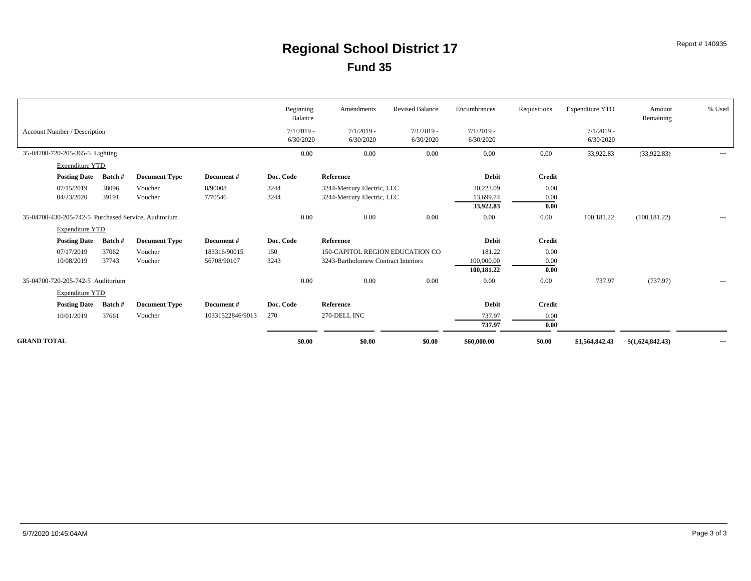|                                                      |                      |                      |                             | Beginning<br>Balance      | Amendments                                                                    | <b>Revised Balance</b>    | Encumbrances                        | Requisitions         | <b>Expenditure YTD</b>    | Amount<br>Remaining | % Used   |
|------------------------------------------------------|----------------------|----------------------|-----------------------------|---------------------------|-------------------------------------------------------------------------------|---------------------------|-------------------------------------|----------------------|---------------------------|---------------------|----------|
| Account Number / Description                         |                      |                      |                             | $7/1/2019$ -<br>6/30/2020 | $7/1/2019$ -<br>6/30/2020                                                     | $7/1/2019$ -<br>6/30/2020 | $7/1/2019$ -<br>6/30/2020           |                      | $7/1/2019$ -<br>6/30/2020 |                     |          |
| 35-04700-720-205-365-5 Lighting                      |                      |                      |                             | 0.00                      | $0.00\,$                                                                      | 0.00                      | 0.00                                | 0.00                 | 33,922.83                 | (33,922.83)         | $\cdots$ |
| <b>Expenditure YTD</b>                               |                      |                      |                             |                           |                                                                               |                           |                                     |                      |                           |                     |          |
| <b>Posting Date</b>                                  | Batch #              | <b>Document Type</b> | Document#                   | Doc. Code                 | Reference                                                                     |                           | Debit                               | <b>Credit</b>        |                           |                     |          |
| 07/15/2019<br>04/23/2020                             | 38096<br>39191       | Voucher<br>Voucher   | 8/90008<br>7/70546          | 3244<br>3244              | 3244-Mercury Electric, LLC<br>3244-Mercury Electric, LLC                      |                           | 20,223.09<br>13,699.74<br>33,922.83 | 0.00<br>0.00<br>0.00 |                           |                     |          |
| 35-04700-430-205-742-5 Purchased Service, Auditorium |                      |                      |                             | 0.00                      | 0.00                                                                          | 0.00                      | 0.00                                | 0.00                 | 100,181.22                | (100, 181.22)       | $\cdots$ |
| <b>Expenditure YTD</b>                               |                      |                      |                             |                           |                                                                               |                           |                                     |                      |                           |                     |          |
|                                                      | Posting Date Batch # | <b>Document Type</b> | Document#                   | Doc. Code                 | Reference                                                                     |                           | <b>Debit</b>                        | <b>Credit</b>        |                           |                     |          |
| 07/17/2019<br>10/08/2019                             | 37062<br>37743       | Voucher<br>Voucher   | 183316/90015<br>56708/90107 | 150<br>3243               | <b>150-CAPITOL REGION EDUCATION CO</b><br>3243-Bartholomew Contract Interiors |                           | 181.22<br>100,000.00<br>100,181.22  | 0.00<br>0.00<br>0.00 |                           |                     |          |
| 35-04700-720-205-742-5 Auditorium                    |                      |                      |                             | 0.00                      | 0.00                                                                          | 0.00                      | 0.00                                | 0.00                 | 737.97                    | (737.97)            | $\cdots$ |
| <b>Expenditure YTD</b>                               |                      |                      |                             |                           |                                                                               |                           |                                     |                      |                           |                     |          |
|                                                      | Posting Date Batch # | <b>Document Type</b> | Document#                   | Doc. Code                 | Reference                                                                     |                           | <b>Debit</b>                        | Credit               |                           |                     |          |
| 10/01/2019                                           | 37661                | Voucher              | 10331522846/9013            | 270                       | 270-DELL INC                                                                  |                           | 737.97<br>737.97                    | 0.00<br>0.00         |                           |                     |          |
| <b>GRAND TOTAL</b>                                   |                      |                      |                             | \$0.00                    | \$0.00                                                                        | \$0.00                    | \$60,000.00                         | \$0.00               | \$1,564,842.43            | \$(1,624,842.43)    | $\cdots$ |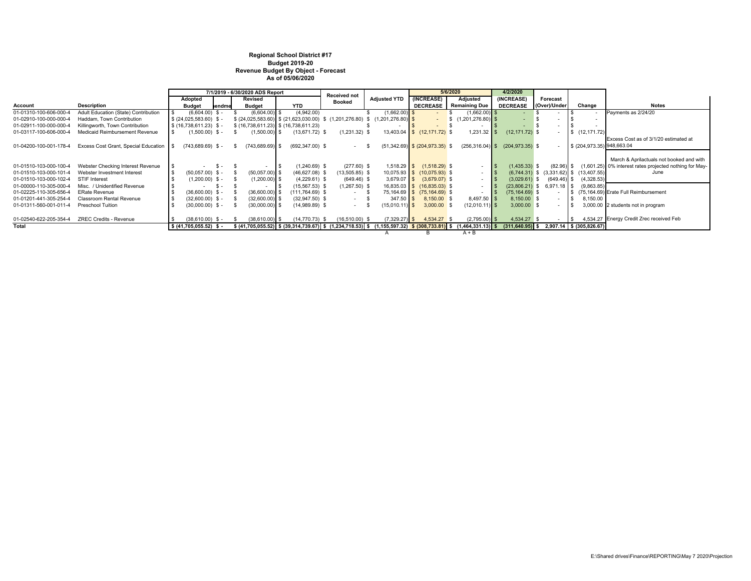#### **Regional School District #17 Budget 2019-20 Revenue Budget By Object - Forecast As of 05/06/2020**

|                        |                                      | 7/1/2019 - 6/30/2020 ADS Report |                      | <b>Received not</b> |                    |                                                                                                                                                    | 5/6/2020         | 4/2/2020            |                                    |                      |                    |                              |                                               |                                                                    |
|------------------------|--------------------------------------|---------------------------------|----------------------|---------------------|--------------------|----------------------------------------------------------------------------------------------------------------------------------------------------|------------------|---------------------|------------------------------------|----------------------|--------------------|------------------------------|-----------------------------------------------|--------------------------------------------------------------------|
|                        |                                      | Adopted                         |                      |                     | Revised            |                                                                                                                                                    | <b>Booked</b>    | <b>Adjusted YTD</b> | (INCREASE)                         | Adjusted             | (INCREASE)         | Forecast                     |                                               |                                                                    |
| Account                | <b>Description</b>                   | <b>Budget</b>                   | lendme               |                     | <b>Budget</b>      | <b>YTD</b>                                                                                                                                         |                  |                     | <b>DECREASE</b>                    | <b>Remaining Due</b> | <b>DECREASE</b>    | (Over)/Under                 | Change                                        | <b>Notes</b>                                                       |
| 01-01310-100-606-000-4 | Adult Education (State) Contribution |                                 | $(6,604.00)$ \$ -    |                     | $(6,604.00)$ \$    | (4,942.00)                                                                                                                                         |                  | $(1,662.00)$ \$     |                                    | $(1,662.00)$ \$      |                    |                              |                                               | Payments as 2/24/20                                                |
| 01-02910-100-000-000-4 | Haddam, Town Contribution            | $$ (24,025,583.60)$ \$ -        |                      |                     |                    | $$$ (24,025,583.60) $$$ (21,623,030.00) $$$ (1,201,276.80) $$$ (1,201,276.80) $$$                                                                  |                  |                     |                                    |                      |                    |                              |                                               |                                                                    |
| 01-02911-100-000-000-4 | Killingworth, Town Contribution      | $$ (16,738,611.23)$ \$ -        |                      |                     |                    | $$ (16,738,611.23)$ $$ (16,738,611.23)$                                                                                                            |                  |                     |                                    |                      |                    |                              |                                               |                                                                    |
| 01-03117-100-606-000-4 | Medicaid Reimbursement Revenue       |                                 | $(1,500.00)$ \$ -    |                     | $(1,500.00)$ \$    | $(13,671.72)$ \$                                                                                                                                   | $(1,231.32)$ \$  |                     | 13,403.04 \$ (12,171.72) \$        | $1,231.32$ \$        | $(12, 171.72)$ \$  |                              | \$(12, 171.72)                                |                                                                    |
|                        |                                      |                                 |                      |                     |                    |                                                                                                                                                    |                  |                     |                                    |                      |                    |                              |                                               | Excess Cost as of 3/1/20 estimated at                              |
| 01-04200-100-001-178-4 | Excess Cost Grant, Special Education |                                 | $(743, 689.69)$ \$ - | S.                  | $(743, 689.69)$ \$ | $(692, 347.00)$ \$                                                                                                                                 | $ \sim$          |                     | $(51,342.69)$ \$ $(204,973.35)$ \$ | $(256, 316.04)$ \$   | $(204, 973.35)$ \$ | $\sim$                       | \$ (204,973.35) 948,663.04                    |                                                                    |
|                        |                                      |                                 |                      |                     |                    |                                                                                                                                                    |                  |                     |                                    |                      |                    |                              |                                               |                                                                    |
|                        |                                      |                                 |                      |                     |                    |                                                                                                                                                    |                  |                     |                                    |                      |                    |                              |                                               | March & Aprilactuals not booked and with                           |
| 01-01510-103-000-100-4 | Webster Checking Interest Revenue    |                                 | $S -$                |                     |                    | $(1,240.69)$ \$                                                                                                                                    | $(277.60)$ \$    |                     | 1,518.29 \$ (1,518.29) \$          | $\sim$               | $(1,435.33)$ \$    |                              |                                               | (82.96) \$ (1,601.25) 0% interest rates projected nothing for May- |
| 01-01510-103-000-101-4 | Webster Investment Interest          |                                 | $(50,057.00)$ \$ -   |                     | $(50,057.00)$ \$   | $(46,627.08)$ \$                                                                                                                                   | $(13,505.85)$ \$ |                     | 10,075.93 \$ (10,075.93) \$        | $\sim$               |                    |                              | $(6,744.31)$ \$ $(3,331.62)$ \$ $(13,407.55)$ | June                                                               |
| 01-01510-103-000-102-4 | STIF Interest                        |                                 | $(1,200.00)$ \$ -    |                     | $(1,200.00)$ \$    | $(4,229.61)$ \$                                                                                                                                    | $(649.46)$ \$    |                     | $3,679.07$ \$ $(3,679.07)$ \$      | $\sim$               | $(3,029.61)$ \$    | $(649.46)$ \$                | (4,328.53)                                    |                                                                    |
| 01-00000-110-305-000-4 | Misc. / Unidentified Revenue         |                                 | - SS –               |                     |                    | $(15,567.53)$ \$                                                                                                                                   | $(1,267.50)$ \$  |                     | 16,835.03 \$ (16,835.03) \$        | $\sim$               |                    | $(23,806.21)$ \$ 6,971.18 \$ | (9,863.85)                                    |                                                                    |
| 01-02225-110-305-656-4 | <b>ERate Revenue</b>                 |                                 | $(36,600.00)$ \$ -   |                     | $(36,600.00)$ \$   | $(111,764.69)$ \$                                                                                                                                  |                  |                     | 75,164.69 \$ (75,164.69) \$        | $\sim$               | $(75, 164.69)$ \$  |                              |                                               | \$ (75.164.69) Erate Full Reimbursement                            |
| 01-01201-441-305-254-4 | Classroom Rental Revenue             |                                 | $(32,600.00)$ \$ -   |                     | $(32,600.00)$ \$   | $(32,947.50)$ \$                                                                                                                                   | $\sim$           | $347.50$ S          | 8,150.00 \$                        | $8,497.50$ \$        | 8,150.00 \$        | $\overline{a}$               | 8,150.00                                      |                                                                    |
| 01-01311-560-001-011-4 | Preschool Tuition                    |                                 | $(30,000.00)$ \$ -   |                     | $(30,000.00)$ \$   | $(14,989.89)$ \$                                                                                                                                   | $\sim$           | $(15,010.11)$ \$    | $3,000.00$ \$                      | $(12,010.11)$ \$     | $3,000.00$ \$      |                              |                                               | 3,000.00 2 students not in program                                 |
|                        |                                      |                                 |                      |                     |                    |                                                                                                                                                    |                  |                     |                                    |                      |                    |                              |                                               |                                                                    |
| 01-02540-622-205-354-4 | ZREC Credits - Revenue               |                                 | $(38,610.00)$ \$ -   |                     | $(38,610.00)$ \$   | $(14, 770.73)$ \$                                                                                                                                  | (16,510.00) \$   | $(7,329.27)$ \$     | 4,534.27 \$                        | $(2,795.00)$ \$      | 4,534.27 \$        |                              |                                               | 4.534.27 Energy Credit Zrec received Feb                           |
| Total                  |                                      | $$ (41,705,055.52)$ \$ -        |                      |                     |                    | $$ (41,705,055.52) $ (39,314,739.67) $ (1,234,718.53) $ (1,155,597.32) $ (308,733.81) $ (1,464,331.13) $ (311,640.95) $ 2,907.14 $ (305,826.67) $$ |                  |                     |                                    |                      |                    |                              |                                               |                                                                    |
|                        |                                      |                                 |                      |                     |                    |                                                                                                                                                    |                  |                     |                                    | $A + B$              |                    |                              |                                               |                                                                    |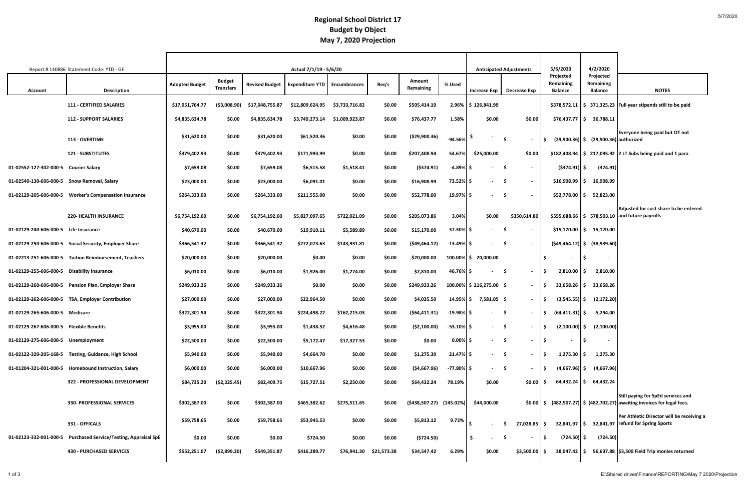|                                             | Report #140886 Statement Code: YTD - GF                |                       |                                   |                       | Actual 7/1/19 - 5/6/20 |                |             |                          |               |                             | <b>Anticipated Adjustments</b>   | 5/6/2020                                 | 4/2/2020                                  |                                                                                                          |
|---------------------------------------------|--------------------------------------------------------|-----------------------|-----------------------------------|-----------------------|------------------------|----------------|-------------|--------------------------|---------------|-----------------------------|----------------------------------|------------------------------------------|-------------------------------------------|----------------------------------------------------------------------------------------------------------|
| <b>Account</b>                              | <b>Description</b>                                     | <b>Adopted Budget</b> | <b>Budget</b><br><b>Transfers</b> | <b>Revised Budget</b> | <b>Expenditure YTD</b> | Encumbrances   | Req's       | Amount<br>Remaining      | % Used        | <b>Increase Exp</b>         | Decrease Exp                     | Projected<br>Remaining<br><b>Balance</b> | Projected<br>Remaining<br><b>Balance</b>  | <b>NOTES</b>                                                                                             |
|                                             | <b>111 - CERTIFIED SALARIES</b>                        | \$17,051,764.77       | ( \$3,008.90)                     | \$17,048,755.87       | \$12,809,624.95        | \$3,733,716.82 | \$0.00      | \$505,414.10             |               | 2.96% \$126,841.99          |                                  |                                          |                                           | $$378,572.11$ $$371,325.23$ Full year stipends still to be paid                                          |
|                                             | <b>112 - SUPPORT SALARIES</b>                          | \$4,835,634.78        | \$0.00                            | \$4,835,634.78        | \$3,749,273.14         | \$1,009,923.87 | \$0.00      | \$76,437.77              | 1.58%         | \$0.00                      | \$0.00                           |                                          | $$76,437.77$ $$6$ 36,788.11               |                                                                                                          |
|                                             | <b>113 - OVERTIME</b>                                  | \$31,620.00           | \$0.00                            | \$31,620.00           | \$61,520.36            | \$0.00         | \$0.00      | (\$29,900.36)            | $-94.56%$     |                             | S.<br>$\overline{\phantom{a}}$   |                                          | $(29,900.36)$ \$ $(29,900.36)$ authorized | Everyone being paid but OT not                                                                           |
|                                             | <b>121 - SUBSTITUTES</b>                               | \$379,402.93          | \$0.00                            | \$379,402.93          | \$171,993.99           | \$0.00         | \$0.00      | \$207,408.94             | 54.67%        | \$25,000.00                 | \$0.00                           | \$182,408.94                             |                                           | $\frac{1}{2}$ 217,095.92 2 LT Subs being paid and 1 para                                                 |
| 01-02552-127-302-000-5 Courier Salary       |                                                        | \$7,659.08            | \$0.00                            | \$7,659.08            | \$6,515.58             | \$1,518.41     | \$0.00      | $($ \$374.91)            | $-4.89%$      | $\sim$ 100 $\mu$            | - S<br>$\sim$                    | $($ \$374.91) $ $ \$                     | (374.91)                                  |                                                                                                          |
| 01-02540-130-606-000-5 Snow Removal, Salary |                                                        | \$23,000.00           | \$0.00                            | \$23,000.00           | \$6,091.01             | \$0.00         | \$0.00      | \$16,908.99              | 73.52% \$     |                             | - Ś<br>$\overline{\phantom{a}}$  | \$16,908.99                              | 16,908.99<br>l S                          |                                                                                                          |
|                                             | 01-02129-205-606-000-5 Worker's Compensation Insurance | \$264,333.00          | \$0.00                            | \$264,333.00          | \$211,555.00           | \$0.00         | \$0.00      | \$52,778.00              | $19.97\%$ \$  |                             | - Ś                              | \$52,778.00 S                            | 52,823.00                                 |                                                                                                          |
|                                             | <b>220- HEALTH INSURANCE</b>                           | \$6,754,192.60        | \$0.00                            | \$6,754,192.60        | \$5,827,097.65         | \$722,021.09   | \$0.00      | \$205,073.86             | 3.04%         | \$0.00                      | \$350,614.80                     |                                          |                                           | Adjusted for cost share to be entered<br>\$555,688.66 \$ 578,503.10 and future payrolls                  |
| 01-02129-240-606-000-5 Life Insurance       |                                                        | \$40,670.00           | \$0.00                            | \$40,670.00           | \$19,910.11            | \$5,589.89     | \$0.00      | \$15,170.00              | 37.30% \$     | $\sim$                      | - S<br>$\overline{\phantom{a}}$  |                                          | $$15,170.00$ $$15,170.00$                 |                                                                                                          |
|                                             | 01-02129-250-606-000-5 Social Security, Employer Share | \$366,541.32          | \$0.00                            | \$366,541.32          | \$272,073.63           | \$143,931.81   | \$0.00      | (549, 464.12)            | $-13.49\%$ \$ | $\sim$                      | - Ś                              |                                          | $(549, 464.12)$ \$ $(38, 939.60)$         |                                                                                                          |
|                                             | 01-02213-251-606-000-5 Tuition Reimbursement, Teachers | \$20,000.00           | \$0.00                            | \$20,000.00           | \$0.00                 | \$0.00         | \$0.00      | \$20,000.00              |               | 100.00% \$ 20,000.00        |                                  | $\sim$                                   | -S<br>$\overline{\phantom{a}}$            |                                                                                                          |
| 01-02129-255-606-000-5 Disability Insurance |                                                        | \$6,010.00            | \$0.00                            | \$6,010.00            | \$1,926.00             | \$1,274.00     | \$0.00      | \$2,810.00               | 46.76% \$     | $\sim$ 100 $\mu$            | - \$                             | $2,810.00$ \$                            | 2,810.00                                  |                                                                                                          |
|                                             | 01-02129-260-606-000-5 Pension Plan, Employer Share    | \$249,933.26          | \$0.00                            | \$249,933.26          | \$0.00                 | \$0.00         | \$0.00      | \$249,933.26             |               | $100.00\%$ \$ 216,275.00 \$ | $\sim$                           | $33,658.26$   \$                         | 33,658.26                                 |                                                                                                          |
|                                             | 01-02129-262-606-000-5 TSA, Employer Contribution      | \$27,000.00           | \$0.00                            | \$27,000.00           | \$22,964.50            | \$0.00         | \$0.00      | \$4,035.50               | 14.95%   \$   | 7,581.05 \$                 | $\sim$                           | $(3,545.55)$ \$                          | (2, 172.20)                               |                                                                                                          |
| 01-02129-265-606-000-5 Medicare             |                                                        | \$322,301.94          | \$0.00                            | \$322,301.94          | \$224,498.22           | \$162,215.03   | \$0.00      | (564, 411.31)            | $-19.98\%$ \$ | $\sim$                      | - S<br>$\overline{\phantom{a}}$  | $(64, 411.31)$ \$                        | 5,294.00                                  |                                                                                                          |
| 01-02129-267-606-000-5 Flexible Benefits    |                                                        | \$3,955.00            | \$0.00                            | \$3,955.00            | \$1,438.52             | \$4,616.48     | \$0.00      | ( \$2,100.00)            | $-53.10\%$ \$ | $\sim$                      | S.<br>$\sim$                     | $(2,100.00)$ \$<br>IS.                   | (2,100.00)                                |                                                                                                          |
| 01-02129-275-606-000-5 Unemployment         |                                                        | \$22,500.00           | \$0.00                            | \$22,500.00           | \$5,172.47             | \$17,327.53    | \$0.00      | \$0.00                   | $0.00\%$ \$   | $\sim$                      | - S<br>$\sim$                    | l \$<br>$\sim$                           | \$ ا                                      |                                                                                                          |
|                                             | 01-02122-320-205-168-5 Testing, Guidance, High School  | \$5,940.00            | \$0.00                            | \$5,940.00            | \$4,664.70             | \$0.00         | \$0.00      | \$1,275.30               | $21.47\%$ \$  | $\sim$                      | - \$<br>$\overline{\phantom{a}}$ | 1,275.30                                 | 1,275.30<br>l S.                          |                                                                                                          |
|                                             | 01-01204-321-001-000-5 Homebound Instruction, Salary   | \$6,000.00            | \$0.00                            | \$6,000.00            | \$10,667.96            | \$0.00         | \$0.00      | ( \$4,667.96)            | $-77.80\%$ \$ | $\sim 100$                  | - \$<br>$\sim$                   | $(4,667.96)$ \$                          | (4,667.96)                                |                                                                                                          |
|                                             | 322 - PROFESSIONAL DEVELOPMENT                         | \$84,735.20           | (52, 325.45)                      | \$82,409.75           | \$15,727.51            | \$2,250.00     | \$0.00      | \$64,432.24              | 78.19%        | \$0.00                      | $$0.00$ $\mid$ \$                | $64,432.24$ \$                           | 64,432.24                                 |                                                                                                          |
|                                             | <b>330- PROFESSIONAL SERVICES</b>                      | \$302,387.00          | \$0.00                            | \$302,387.00          | \$465,382.62           | \$275,511.65   | \$0.00      | (\$438,507.27) (145.02%) |               | \$44,000.00                 | $$0.00 \, \,$ \$                 |                                          |                                           | Still paying for SpEd services and<br>$(482,507.27)$ \$ $(482,702.27)$ awaiting invoices for legal fees. |
|                                             | 331 - OFFICALS                                         | \$59,758.65           | \$0.00                            | \$59,758.65           | \$53,945.53            | \$0.00         | \$0.00      | \$5,813.12               | 9.73%         |                             | $27,028.85$ \$<br>- Ś            | 32,841.97 \$                             |                                           | Per Athletic Director will be receiving a<br>32,841.97   refund for Spring Sports                        |
| 01-02123-332-001-000-5                      | <b>Purchased Service/Testing, Appraisal SpE</b>        | \$0.00                | \$0.00                            | \$0.00                | \$724.50               | \$0.00         | \$0.00      | (\$724.50)               |               | \$<br>$\sim$                | -\$<br>$\sim$                    | $(724.50)$ \$                            | (724.50)                                  |                                                                                                          |
|                                             | <b>430 - PURCHASED SERVICES</b>                        | \$552,251.07          | ( \$2,899.20)                     | \$549,351.87          | \$416,289.77           | \$76,941.30    | \$21,573.38 | \$34,547.42              | 6.29%         | \$0.00                      | $$3,500.00$ \$                   | 38,047.42 \$                             |                                           | 56,637.88 \$3,500 Field Trip monies returned                                                             |

#### **Budget by Object May 7, 2020 Projection Regional School District 17**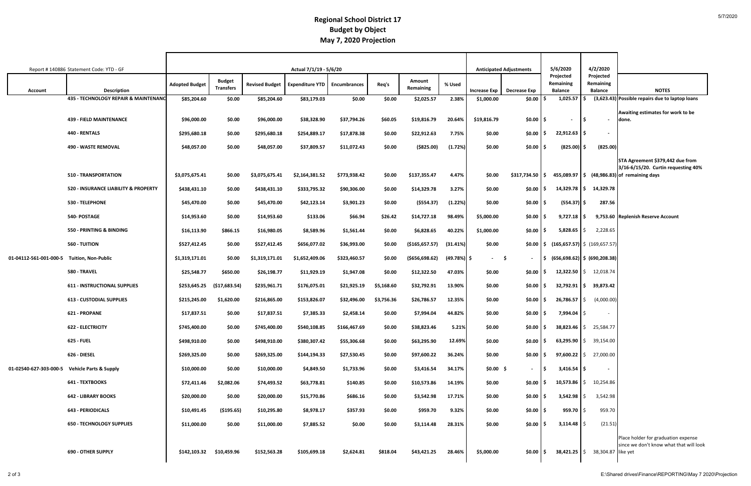#### **Budget by Object May 7, 2020 Projection Regional School District 17**

|                                               | Report #140886 Statement Code: YTD - GF |                       |                                   |                       | Actual 7/1/19 - 5/6/20 |                     |            |                     |              |                     | <b>Anticipated Adjustments</b> | 5/6/2020<br>Projected       | 4/2/2020<br>Projected                                                                |                                                                                |
|-----------------------------------------------|-----------------------------------------|-----------------------|-----------------------------------|-----------------------|------------------------|---------------------|------------|---------------------|--------------|---------------------|--------------------------------|-----------------------------|--------------------------------------------------------------------------------------|--------------------------------------------------------------------------------|
| <b>Account</b>                                | <b>Description</b>                      | <b>Adopted Budget</b> | <b>Budget</b><br><b>Transfers</b> | <b>Revised Budget</b> | <b>Expenditure YTD</b> | <b>Encumbrances</b> | Req's      | Amount<br>Remaining | % Used       | <b>Increase Exp</b> | Decrease Exp                   | Remaining<br><b>Balance</b> | Remaining<br><b>Balance</b>                                                          | <b>NOTES</b>                                                                   |
|                                               | 435 - TECHNOLOGY REPAIR & MAINTENANC    | \$85,204.60           | \$0.00                            | \$85,204.60           | \$83,179.03            | \$0.00              | \$0.00     | \$2,025.57          | 2.38%        | \$1,000.00          | \$0.00                         | 1,025.57                    |                                                                                      | (3,623.43) Possible repairs due to laptop loans                                |
|                                               |                                         |                       |                                   |                       |                        |                     |            |                     |              |                     |                                |                             |                                                                                      | Awaiting estimates for work to be                                              |
|                                               | <b>439 - FIELD MAINTENANCE</b>          | \$96,000.00           | \$0.00                            | \$96,000.00           | \$38,328.90            | \$37,794.26         | \$60.05    | \$19,816.79         | 20.64%       | \$19,816.79         | $$0.00$ $\mid$ \$              | $\overline{\phantom{a}}$    | ۱Ś.                                                                                  | done.                                                                          |
|                                               | 440 - RENTALS                           | \$295,680.18          | \$0.00                            | \$295,680.18          | \$254,889.17           | \$17,878.38         | \$0.00     | \$22,912.63         | 7.75%        | \$0.00              | \$0.00 ┃\$                     | $22,912.63$ \$              |                                                                                      |                                                                                |
|                                               | <b>490 - WASTE REMOVAL</b>              | \$48,057.00           | \$0.00                            | \$48,057.00           | \$37,809.57            | \$11,072.43         | \$0.00     | ( \$825.00)         | (1.72%)      | \$0.00              | \$0.00                         | $(825.00)$ \$               | (825.00)                                                                             |                                                                                |
|                                               |                                         |                       |                                   |                       |                        |                     |            |                     |              |                     |                                |                             |                                                                                      | STA Agreement \$379,442 due from<br>3/16-6/15/20. Curtin requesting 40%        |
|                                               | 510 - TRANSPORTATION                    | \$3,075,675.41        | \$0.00                            | \$3,075,675.41        | \$2,164,381.52         | \$773,938.42        | \$0.00     | \$137,355.47        | 4.47%        | \$0.00              | \$317,734.50 \$                | 455,089.97 \$               |                                                                                      | (48,986.83) of remaining days                                                  |
|                                               | 520 - INSURANCE LIABILITY & PROPERTY    | \$438,431.10          | \$0.00                            | \$438,431.10          | \$333,795.32           | \$90,306.00         | \$0.00     | \$14,329.78         | 3.27%        | \$0.00              | $$0.00$   \$                   | 14,329.78 ┃ \$              | 14,329.78                                                                            |                                                                                |
|                                               | 530 - TELEPHONE                         | \$45,470.00           | \$0.00                            | \$45,470.00           | \$42,123.14            | \$3,901.23          | \$0.00     | ( \$554.37)         | (1.22%)      | \$0.00              | \$0.00                         | $(554.37)$ \$               | 287.56                                                                               |                                                                                |
|                                               | 540- POSTAGE                            | \$14,953.60           | \$0.00                            | \$14,953.60           | \$133.06               | \$66.94             | \$26.42    | \$14,727.18         | 98.49%       | \$5,000.00          | \$0.00                         | 9,727.18                    | S.                                                                                   | 9,753.60 Replenish Reserve Account                                             |
|                                               | 550 - PRINTING & BINDING                | \$16,113.90           | \$866.15                          | \$16,980.05           | \$8,589.96             | \$1,561.44          | \$0.00     | \$6,828.65          | 40.22%       | \$1,000.00          | $$0.00$   \$                   | 5,828.65                    | 2,228.65<br>I\$                                                                      |                                                                                |
|                                               | 560 - TUITION                           | \$527,412.45          | \$0.00                            | \$527,412.45          | \$656,077.02           | \$36,993.00         | \$0.00     | ( \$165, 657.57)    | (31.41%)     | \$0.00              |                                |                             | $\vert \mathsf{50.00} \vert \mathsf{5}$ (165,657.57) $\vert \mathsf{5}$ (169,657.57) |                                                                                |
| 01-04112-561-001-000-5                        | Tuition, Non-Public                     | \$1,319,171.01        | \$0.00                            | \$1,319,171.01        | \$1,652,409.06         | \$323,460.57        | \$0.00     | ( \$656, 698.62)    | (49.78%)  \$ | $-5$                |                                |                             | $\frac{1}{2}$ (656,698.62) $\frac{1}{2}$ (690,208.38)                                |                                                                                |
|                                               | 580 - TRAVEL                            | \$25,548.77           | \$650.00                          | \$26,198.77           | \$11,929.19            | \$1,947.08          | \$0.00     | \$12,322.50         | 47.03%       | \$0.00              | $$0.00$   \$                   |                             | 12,322.50 $\vert \xi \vert$ 12,018.74                                                |                                                                                |
|                                               | <b>611 - INSTRUCTIONAL SUPPLIES</b>     | \$253,645.25          | (\$17,683.54)                     | \$235,961.71          | \$176,075.01           | \$21,925.19         | \$5,168.60 | \$32,792.91         | 13.90%       | \$0.00              | $$0.00$ $\mid$ \$              |                             | 32,792.91 \$ 39,873.42                                                               |                                                                                |
|                                               | <b>613 - CUSTODIAL SUPPLIES</b>         | \$215,245.00          | \$1,620.00                        | \$216,865.00          | \$153,826.07           | \$32,496.00         | \$3,756.36 | \$26,786.57         | 12.35%       | \$0.00              | $$0.00$ $\mid$ \$              | 26,786.57                   | (4,000.00)<br>IS.                                                                    |                                                                                |
|                                               | 621 - PROPANE                           | \$17,837.51           | \$0.00                            | \$17,837.51           | \$7,385.33             | \$2,458.14          | \$0.00     | \$7,994.04          | 44.82%       | \$0.00              | \$0.00                         | 7,994.04                    | S.<br>$\sim$                                                                         |                                                                                |
|                                               | <b>622 - ELECTRICITY</b>                | \$745,400.00          | \$0.00                            | \$745,400.00          | \$540,108.85           | \$166,467.69        | \$0.00     | \$38,823.46         | 5.21%        | \$0.00              | \$0.00 S                       | $38,823.46$ \$              | 25,584.77                                                                            |                                                                                |
|                                               | <b>625 - FUEL</b>                       | \$498,910.00          | \$0.00                            | \$498,910.00          | \$380,307.42           | \$55,306.68         | \$0.00     | \$63,295.90         | 12.69%       | \$0.00              | $$0.00$ $$$                    |                             | 63,295.90 $\vert \xi \vert$ 39,154.00                                                |                                                                                |
|                                               | 626 - DIESEL                            | \$269,325.00          | \$0.00                            | \$269,325.00          | \$144,194.33           | \$27,530.45         | \$0.00     | \$97,600.22         | 36.24%       | \$0.00              | $$0.00$ $$$                    | 97,600.22 S                 | 27,000.00                                                                            |                                                                                |
| 01-02540-627-303-000-5 Vehicle Parts & Supply |                                         | \$10,000.00           | \$0.00                            | \$10,000.00           | \$4,849.50             | \$1,733.96          | \$0.00     | \$3,416.54          | 34.17%       | $$0.00$ \$          |                                | 3,416.54                    | ١S<br>$\sim$                                                                         |                                                                                |
|                                               | <b>641 - TEXTBOOKS</b>                  | \$72,411.46           | \$2,082.06                        | \$74,493.52           | \$63,778.81            | \$140.85            | \$0.00     | \$10,573.86         | 14.19%       | \$0.00              | $$0.00$ $\mid$ \$              | 10,573.86                   | 10,254.86<br>I \$                                                                    |                                                                                |
|                                               | <b>642 - LIBRARY BOOKS</b>              | \$20,000.00           | \$0.00                            | \$20,000.00           | \$15,770.86            | \$686.16            | \$0.00     | \$3,542.98          | 17.71%       | \$0.00              | $$0.00$   \$                   | 3,542.98                    | 3,542.98<br>S.                                                                       |                                                                                |
|                                               | <b>643 - PERIODICALS</b>                | \$10,491.45           | ( \$195.65)                       | \$10,295.80           | \$8,978.17             | \$357.93            | \$0.00     | \$959.70            | 9.32%        | \$0.00              | $$0.00$   \$                   | 959.70                      | 959.70<br>IS.                                                                        |                                                                                |
|                                               | <b>650 - TECHNOLOGY SUPPLIES</b>        | \$11,000.00           | \$0.00                            | \$11,000.00           | \$7,885.52             | \$0.00              | \$0.00     | \$3,114.48          | 28.31%       | \$0.00              | $$0.00$ $$$                    | $3,114.48$ \$               | (21.51)                                                                              |                                                                                |
|                                               | <b>690 - OTHER SUPPLY</b>               | \$142,103.32          | \$10,459.96                       | \$152,563.28          | \$105,699.18           | \$2,624.81          | \$818.04   | \$43,421.25         | 28.46%       | \$5,000.00          | $$0.00$ $\mid$ \$              | 38,421.25                   | 38,304.87 like yet<br>IS.                                                            | Place holder for graduation expense<br>since we don't know what that will look |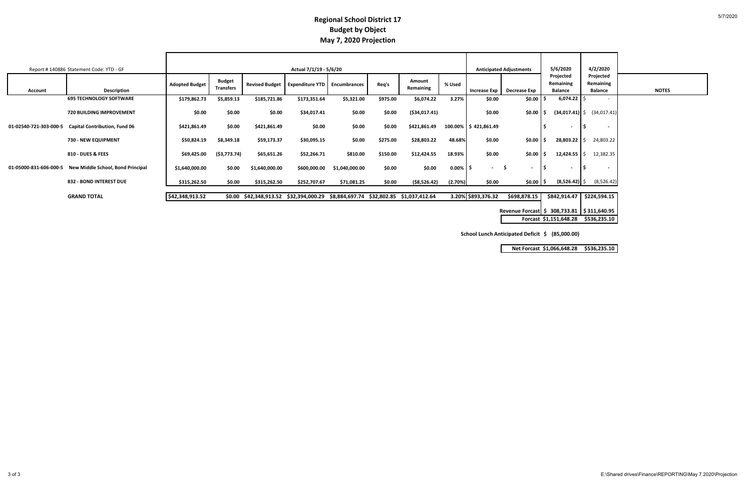#### **Budget by Object May 7, 2020 Projection Regional School District 17**

|                        | Report #140886 Statement Code: YTD - GF |                       |                                   |                                        | Actual 7/1/19 - 5/6/20              |                                           |          |                     |             |                           | <b>Anticipated Adjustments</b>                  | 5/6/2020                                 | 4/2/2020                                 |              |
|------------------------|-----------------------------------------|-----------------------|-----------------------------------|----------------------------------------|-------------------------------------|-------------------------------------------|----------|---------------------|-------------|---------------------------|-------------------------------------------------|------------------------------------------|------------------------------------------|--------------|
| <b>Account</b>         | <b>Description</b>                      | <b>Adopted Budget</b> | <b>Budget</b><br><b>Transfers</b> | <b>Revised Budget</b>                  | <b>Expenditure YTD</b> Encumbrances |                                           | Req's    | Amount<br>Remaining | % Used      | <b>Increase Exp</b>       | Decrease Exp                                    | Projected<br>Remaining<br><b>Balance</b> | Projected<br>Remaining<br><b>Balance</b> | <b>NOTES</b> |
|                        | <b>695 TECHNOLOGY SOFTWARE</b>          | \$179,862.73          | \$5,859.13                        | \$185,721.86                           | \$173,351.64                        | \$5,321.00                                | \$975.00 | \$6,074.22          | 3.27%       | \$0.00                    | \$0.00                                          | 6,074.22                                 |                                          |              |
|                        | <b>720 BUILDING IMPROVEMENT</b>         | \$0.00                | \$0.00                            | \$0.00                                 | \$34,017.41                         | \$0.00                                    | \$0.00   | (\$34,017.41)       |             | \$0.00                    | $$0.00$ $$$                                     |                                          | $(34,017.41)$ \$ $(34,017.41)$           |              |
| 01-02540-721-303-000-5 | <b>Capital Contribution, Fund 06</b>    | \$421,861.49          | \$0.00                            | \$421,861.49                           | \$0.00                              | \$0.00                                    | \$0.00   | \$421,861.49        |             | $100.00\%$   \$421,861.49 |                                                 | $\blacksquare$                           | $\overline{\phantom{a}}$                 |              |
|                        | 730 - NEW EQUIPMENT                     | \$50,824.19           | \$8,349.18                        | \$59,173.37                            | \$30,095.15                         | \$0.00                                    | \$275.00 | \$28,803.22         | 48.68%      | \$0.00                    | $$0.00$ $$$                                     | 28,803.22                                | 24,803.22                                |              |
|                        | <b>810 - DUES &amp; FEES</b>            | \$69,425.00           | ( \$3,773.74)                     | \$65,651.26                            | \$52,266.71                         | \$810.00                                  | \$150.00 | \$12,424.55         | 18.93%      | \$0.00                    | $$0.00$ $$$                                     | $12,424.55$ \$                           | 12,382.35                                |              |
| 01-05000-831-606-000-5 | New Middle School, Bond Principal       | \$1,640,000.00        | \$0.00                            | \$1,640,000.00                         | \$600,000.00                        | \$1,040,000.00                            | \$0.00   | \$0.00              | $0.00\%$ \$ | $\sim$                    | - S<br>$\overline{\phantom{a}}$                 | $\sim$                                   | $\overline{\phantom{a}}$                 |              |
|                        | 832 - BOND INTEREST DUE                 | \$315,262.50          | \$0.00                            | \$315,262.50                           | \$252,707.67                        | \$71,081.25                               | \$0.00   | ( \$8,526.42)       | (2.70%)     | \$0.00                    | \$0.00 \$                                       | $(8,526.42)$ \$                          | (8,526.42)                               |              |
|                        | <b>GRAND TOTAL</b>                      | \$42,348,913.52       |                                   | \$0.00 \$42,348,913.52 \$32,394,000.29 |                                     | \$8,884,697.74 \$32,802.85 \$1,037,412.64 |          |                     |             | 3.20% \$893,376.32        | \$698,878.15                                    |                                          | $$842,914.47$ $$224,594.15$              |              |
|                        |                                         |                       |                                   |                                        |                                     |                                           |          |                     |             |                           | Revenue Forcast \$ 308,733.81   \$311,640.95    |                                          |                                          |              |
|                        |                                         |                       |                                   |                                        |                                     |                                           |          |                     |             |                           |                                                 | Forcast \$1,151,648.28 \$536,235.10      |                                          |              |
|                        |                                         |                       |                                   |                                        |                                     |                                           |          |                     |             |                           | School Lunch Anticipated Deficit \$ (85,000.00) |                                          |                                          |              |

|  | Net Forcast \$1,066,648.28 \$536,235.10 |
|--|-----------------------------------------|
|--|-----------------------------------------|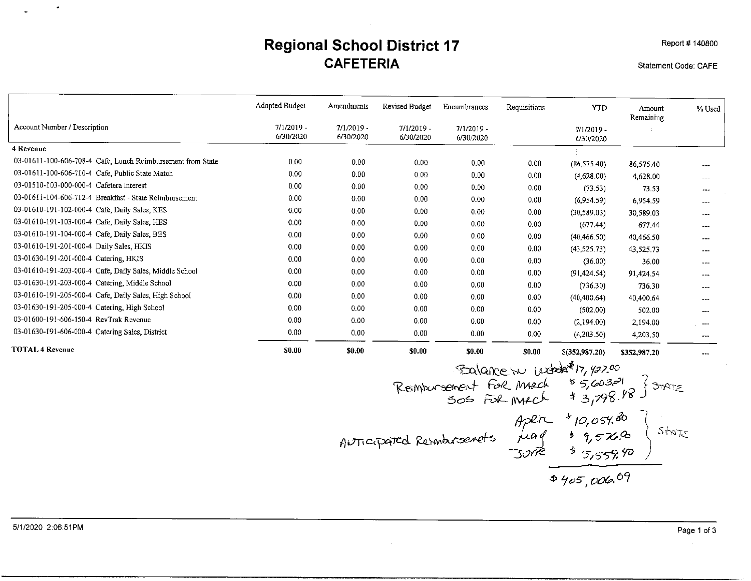## **Regional School District 17 CAFETERIA**

Statement Code: CAFE

Report # 140800

|                                                             | Adopted Budget            | Amendments                | Revised Budget            | Encumbrances              | Requisitions | <b>YTD</b>                | Amount<br><b>Remaining</b> | % Used                                                                                         |
|-------------------------------------------------------------|---------------------------|---------------------------|---------------------------|---------------------------|--------------|---------------------------|----------------------------|------------------------------------------------------------------------------------------------|
| Account Number / Description                                | $7/1/2019$ -<br>6/30/2020 | $7/1/2019 -$<br>6/30/2020 | $7/1/2019 -$<br>6/30/2020 | $7/1/2019$ -<br>6/30/2020 |              | $7/1/2019 -$<br>6/30/2020 |                            |                                                                                                |
| 4 Revenue                                                   |                           |                           |                           |                           |              |                           |                            |                                                                                                |
| 03-01611-100-606-708-4 Cafe, Lunch Reimbursement from State | 0.00                      | 0.00                      | 0.00                      | 0.00                      | 0.00         | (86, 575, 40)             | 86,575.40                  |                                                                                                |
| 03-01611-100-606-710-4 Cafe, Public State Match             | 0.00                      | 0.00                      | 0.00                      | 0.00                      | 0.00         | (4,628.00)                | 4,628.00                   | $---$                                                                                          |
| 03-01510-103-000-000-4 Cafetera Interest                    | 0.00                      | 0.00                      | 0.00                      | 0.00                      | 0.00         | (73.53)                   | 73.53                      | $- - -$                                                                                        |
| 03-01611-104-606-712-4 Breakfast - State Reimbursement      | 0.00                      | 0.00                      | 0.00                      | 0.00                      | 0.00         | (6,954,59)                | 6,954.59                   | ---                                                                                            |
| 03-01610-191-102-000-4 Cafe, Daily Sales, KES               | 0.00                      | 0.00                      | 0.00                      | 0.00                      | 0.00         | (30, 589.03)              | 30,589.03                  | ---                                                                                            |
| 03-01610-191-103-000-4 Cafe, Daily Sales, HES               | 0.00                      | 0.00                      | 0.00                      | 0.00                      | 0.00         | (677.44)                  | 677.44                     |                                                                                                |
| 03-01610-191-104-000-4 Cafe, Daily Sales, BES               | 0.00                      | 0.00                      | 0.00                      | 0.00                      | 0.00         | (40, 466.50)              | 40,466.50                  |                                                                                                |
| 03-01610-191-201-000-4 Daily Sales, HKIS                    | 0.00                      | $0.00 -$                  | 0.00                      | 0.00 <sub>1</sub>         | 0.00         | (43,525,73)               | 43,525.73                  | $- - -$                                                                                        |
| 03-01630-191-201-000-4 Catering, HKIS                       | 0.00                      | 0.00                      | 0.00                      | 0.00                      | 0.00         | (36.00)                   | 36.00                      |                                                                                                |
| 03-01610-191-203-000-4 Cafe, Daily Sales, Middle School     | 0.00                      | 0.00                      | 0.00                      | 0.00                      | 0.00         | (91, 424, 54)             | 91,424.54                  | $---$                                                                                          |
| 03-01630-191-203-000-4 Catering, Middle School              | 0.00                      | 0.00                      | 0.00                      | 0.00                      | 0.00         | (736.30)                  | 736.30                     | $---$                                                                                          |
| 03-01610-191-205-000-4 Cafe, Daily Sales, High School       | 0.00                      | 0.00                      | 0.00                      | 0.00                      | 0.00         | (40, 400, 64)             | 40,400.64                  | $\frac{1}{2} \left( \frac{1}{2} \right) \left( \frac{1}{2} \right) \left( \frac{1}{2} \right)$ |
| 03-01630-191-205-000-4 Catering, High School                | 0.00                      | 0.00                      | 0.00 <sub>1</sub>         | 0.00                      | 0.00         | (502.00)                  | 502.00                     | ---                                                                                            |
| 03-01600-191-606-150-4 RevTrak Revenue                      | 0.00                      | 0.00                      | 0.00                      | 0.00                      | 0.00         | (2,194.00)                | 2,194.00                   | $--$                                                                                           |
| 03-01630-191-606-000-4 Catering Sales, District             | 0.00                      | 0.00 <sub>1</sub>         | 0.00 <sub>1</sub>         | 0.00                      | 0.00         | (4,203.50)                | 4,203.50                   | $\rightarrow$ $\rightarrow$                                                                    |
| <b>TOTAL 4 Revenue</b>                                      | \$0.00                    | \$0.00                    | \$0.00                    | \$0.00                    | \$0.00       | \$(352,987.20)            | \$352,987,20               |                                                                                                |

Example 17, 92.00

\nRemember the 
$$
\frac{1}{2}
$$
 when  $\frac{1}{2}$  is 5,603.01 } 3.798.18

\nAfter 410,057.8b

\nAfter 410,057.8b

\nAfter 410,057.8b

\nAfter 410,057.8b

\nSince  $\frac{1}{2}$  when  $\frac{1}{2}$  is 9,57.9

\nSince  $\frac{1}{2}$  is 9,57.9

\nSince  $\frac{1}{2}$  is 9,57.9

\nSince  $\frac{1}{2}$  is 9,57.9

 $\bullet$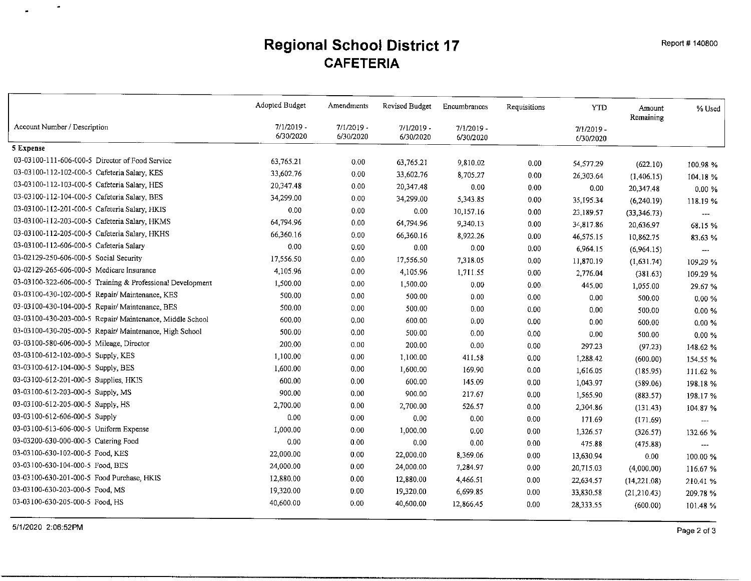#### **Regional School District 17 CAFETERIA**

|                                                            | Adopted Budget            | Amendments                | Revised Budget            | Encumbrances              | Requisitions | <b>YTD</b>                | Amount<br>Remaining | % Used                   |
|------------------------------------------------------------|---------------------------|---------------------------|---------------------------|---------------------------|--------------|---------------------------|---------------------|--------------------------|
| Account Number / Description                               | $7/1/2019$ -<br>6/30/2020 | $7/1/2019 -$<br>6/30/2020 | $7/1/2019$ -<br>6/30/2020 | $7/1/2019$ -<br>6/30/2020 |              | $7/1/2019$ -<br>6/30/2020 |                     |                          |
| 5 Expense                                                  |                           |                           |                           |                           |              |                           |                     |                          |
| 03-03100-111-606-000-5 Director of Food Service            | 63,765.21                 | 0.00                      | 63,765.21                 | 9,810.02                  | 0.00         | 54,577.29                 | (622.10)            | 100.98%                  |
| 03-03100-112-102-000-5 Cafeteria Salary, KES               | 33,602.76                 | 0.00                      | 33,602.76                 | 8,705.27                  | 0.00         | 26,303.64                 | (1,406.15)          | 104.18 %                 |
| 03-03100-112-103-000-5 Cafeteria Salary, HES               | 20,347.48                 | 0.00                      | 20,347.48                 | 0.00                      | 0.00         | 0.00                      | 20,347.48           | $0.00 \%$                |
| 03-03100-112-104-000-5 Cafeteria Salary, BES               | 34,299.00                 | 0.00                      | 34.299.00                 | 5,343.85                  | 0.00         | 35,195.34                 | (6,240.19)          | 118.19 %                 |
| 03-03100-112-201-000-5 Cafeteria Salary, HKIS              | 0.00                      | 0.00                      | 0.00                      | 10,157.16                 | 0.00         | 23,189.57                 | (33, 346.73)        | $\overline{\phantom{a}}$ |
| 03-03100-112-203-000-5 Cafeteria Salary, HKMS              | 64,794.96                 | 0.00                      | 64,794.96                 | 9,340.13                  | 0.00         | 34,817.86                 | 20,636.97           | 68.15 %                  |
| 03-03100-112-205-000-5 Cafeteria Salary, HKHS              | 66,360.16                 | 0.00                      | 66,360.16                 | 8,922.26                  | 0.00         | 46,575.15                 | 10,862.75           | 83.63 %                  |
| 03-03100-112-606-000-5 Cafeteria Salary                    | 0.00                      | 0.00                      | 0.00                      | 0.00                      | 0.00         | 6,964.15                  | (6,964.15)          | $\hspace{0.05cm} \ldots$ |
| 03-02129-250-606-000-5 Social Security                     | 17,556.50                 | 0.00                      | 17,556.50                 | 7,318.05                  | 0.00         | 11,870.19                 | (1,631,74)          | 109.29 %                 |
| 03-02129-265-606-000-5 Medicare Insurance                  | 4,105.96                  | 0.00                      | 4,105.96                  | 1,711.55                  | 0.00         | 2,776.04                  | (381.63)            | 109.29 %                 |
| 03-03100-322-606-000-5 Training & Professional Development | 1,500.00                  | 0.00                      | 1,500.00                  | 0.00                      | 0.00         | 445.00                    | 1,055.00            | 29.67%                   |
| 03-03100-430-102-000-5 Repair/ Maintenance, KES            | 500.00                    | 0.00                      | 500.00                    | 0.00                      | 0.00         | 0.00                      | 500.00              | $0.00 \%$                |
| 03-03100-430-104-000-5 Repair/ Maintenance, BES            | 500.00                    | 0.00                      | 500.00                    | 0.00                      | 0.00         | 0.00                      | 500.00              | $0.00 \%$                |
| 03-03100-430-203-000-5 Repair/ Maintenance, Middle School  | 600.00                    | 0.00                      | 600.00                    | 0.00                      | 0.00         | 0.00                      | 600,00              | $0.00 \%$                |
| 03-03100-430-205-000-5 Repair/ Maintenance, High School    | 500.00                    | 0.00                      | 500.00                    | 0.00                      | 0.00         | 0.00                      | 500.00              | 0.00%                    |
| 03-03100-580-606-000-5 Mileage, Director                   | 200.00                    | 0.00                      | 200.00                    | 0.00                      | 0.00         | 297.23                    | (97.23)             | 148.62 %                 |
| 03-03100-612-102-000-5 Supply, KES                         | 1,100.00                  | 0.00                      | 1,100.00                  | 411.58                    | 0.00         | 1,288.42                  | (600.00)            | 154.55 %                 |
| 03-03100-612-104-000-5 Supply, BES                         | 1,600.00                  | 0.00                      | 1,600.00                  | 169.90                    | 0.00         | 1,616.05                  | (185.95)            | 111.62 %                 |
| 03-03100-612-201-000-5 Supplies, HKIS                      | 600.00                    | 0.00                      | 600.00                    | 145.09                    | 0.00         | 1,043.97                  | (589.06)            | 198.18%                  |
| 03-03100-612-203-000-5 Supply, MS                          | 900.00                    | 0.00                      | 900.00                    | 217.67                    | 0.00         | 1,565.90                  | (883.57)            | 198.17%                  |
| 03-03100-612-205-000-5 Supply, HS                          | 2,700.00                  | 0.00                      | 2,700.00                  | 526.57                    | 0.00         | 2,304.86                  | (131.43)            | 104.87 %                 |
| 03-03100-612-606-000-5 Supply                              | 0.00                      | 0.00                      | 0.00                      | 0.00                      | 0.00         | 171.69                    | (171.69)            | $\frac{1}{2}$            |
| 03-03100-613-606-000-5 Uniform Expense                     | 1,000.00                  | 0.00                      | 1,000.00                  | 0.00                      | 0.00         | 1,326.57                  | (326.57)            | 132.66 %                 |
| 03-03200-630-000-000-5 Catering Food                       | 0.00                      | 0.00                      | 0.00                      | 0.00                      | 0.00         | 475.88                    | (475.88)            | $\qquad \qquad - -$      |
| 03-03100-630-102-000-5 Food, KES                           | 22,000.00                 | 0.00                      | 22,000.00                 | 8,369.06                  | 0.00         | 13,630.94                 | 0.00                | 100.00 %                 |
| 03-03100-630-104-000-5 Food, BES                           | 24,000.00                 | 0.00                      | 24,000.00                 | 7,284.97                  | 0.00         | 20,715.03                 | (4,000.00)          | 116.67%                  |
| 03-03100-630-201-000-5 Food Purchase, HKIS                 | 12,880.00                 | 0.00                      | 12,880.00                 | 4,466.51                  | 0.00         | 22,634.57                 | (14,221.08)         | 210.41 %                 |
| 03-03100-630-203-000-5 Food, MS                            | 19,320.00                 | 0.00                      | 19,320.00                 | 6,699.85                  | 0.00         | 33,830.58                 | (21, 210.43)        | 209.78 %                 |
| 03-03100-630-205-000-5 Food, HS                            | 40,600.00                 | 0.00                      | 40,600.00                 | 12,866.45                 | 0.00         | 28,333.55                 | (600.00)            | 101 48 %                 |

5/1/2020 2:06:52PM

 $\bullet$ 

 $\rightarrow$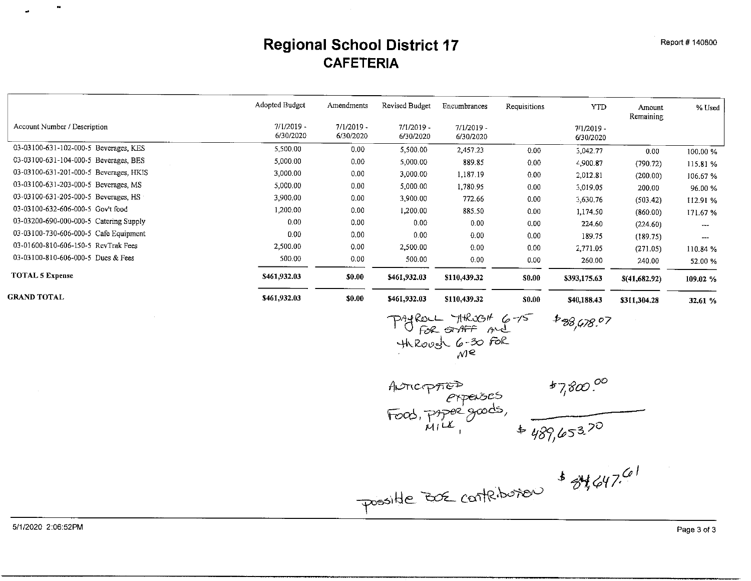#### **Regional School District 17 CAFETERIA**

|                                        | Adopted Budget            | Amendments                | Revised Budget            | Encumbrances              | Requisitions | <b>YTD</b>                | Amount<br>Remaining | % Used               |
|----------------------------------------|---------------------------|---------------------------|---------------------------|---------------------------|--------------|---------------------------|---------------------|----------------------|
| Account Number / Description           | $7/1/2019 -$<br>6/30/2020 | $7/1/2019 -$<br>6/30/2020 | $7/1/2019 -$<br>6/30/2020 | $7/1/2019 -$<br>6/30/2020 |              | $7/1/2019 -$<br>6/30/2020 |                     |                      |
| 03-03100-631-102-000-5 Beverages, KES  | 5,500.00                  | 0.00                      | 5,500.00                  | 2,457.23                  | 0.00         | 3,042.77                  | 0.00                | 100.00 %             |
| 03-03100-631-104-000-5 Beverages, BES  | 5,000.00                  | 0.00                      | 5,000.00                  | 889.85                    | 0.00         | 4,900.87                  | (790.72)            | 115.81 %             |
| 03-03100-631-201-000-5 Beverages, HKIS | 3,000.00                  | 0.00                      | 3,000.00                  | 1,187.19                  | 0.00         | 2,012.81                  | (200.00)            | 106.67 %             |
| 03-03100-631-203-000-5 Beverages, MS   | 5,000.00                  | 0.00                      | 5,000.00                  | 1,780.95                  | 0.00         | 3,019.05                  | 200.00              | 96.00 %              |
| 03-03100-631-205-000-5 Beverages, HS   | 3,900.00                  | 0.00                      | 3,900.00                  | 772.66                    | 0.00         | 3,630.76                  | (503.42)            | 112.91 %             |
| 03-03100-632-606-000-5 Gov't food      | 1,200.00                  | 0.00                      | 1,200.00                  | 885.50                    | 0.00         | 1,174.50                  | (860.00)            | 171.67 %             |
| 03-03200-690-000-000-5 Catering Supply | 0.00                      | 0.00                      | 0.00                      | 0.00                      | 0.00         | 224.60                    | (224.60)            | $- - -$              |
| 03-03100-730-606-000-5 Cafe Equipment  | 0.00                      | 0.00                      | 0.00                      | 0.00                      | 0.00         | 189 75                    | (189.75)            | $\sim$ $\sim$ $\sim$ |
| 03-01600-810-606-150-5 RevTrak Fees    | 2,500.00                  | 0.00                      | 2,500.00                  | 0.00                      | 0.00         | 2,771.05                  | (271.05)            | 110.84 %             |
| 03-03100-810-606-000-5 Dues & Fees     | 500.00                    | 0.00                      | 500.00                    | 0.00                      | 0.00         | 260.00                    | 240.00              | 52.00 %              |
| <b>TOTAL 5 Expense</b>                 | \$461,932.03              | \$0.00                    | \$461,932.03              | \$110,439.32              | \$0.00       | \$393,175.63              | \$(41,682,92)       | 109.02 %             |
| <b>GRAND TOTAL</b>                     | \$461,932.03              | \$0.00                    | \$461,932.03              | \$110,439.32              | \$0.00       | \$40,188.43               | \$311,304.28        | 32.61 %              |

PAYROLL THRUGH 6-15 \$38,478.07<br>Through 6-30 FOR<br>Through 6-30 FOR

Possible BOE contribution \$84,647.61

5/1/2020 2:06:52PM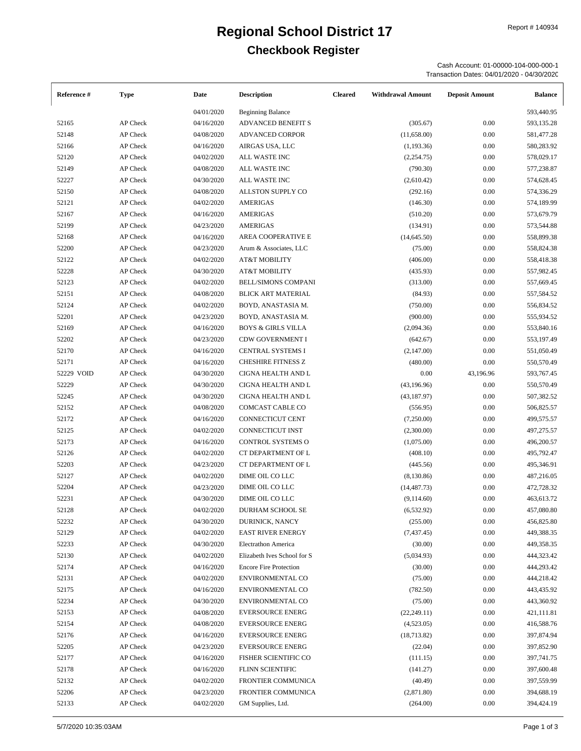# **Regional School District 17** Report # 140934

**Checkbook Register**

Cash Account: 01-00000-104-000-000-1 Transaction Dates: 04/01/2020 - 04/30/2020

| Reference # | <b>Type</b> | Date       | <b>Description</b>            | <b>Cleared</b> | <b>Withdrawal Amount</b> | <b>Deposit Amount</b> | <b>Balance</b> |
|-------------|-------------|------------|-------------------------------|----------------|--------------------------|-----------------------|----------------|
|             |             | 04/01/2020 | <b>Beginning Balance</b>      |                |                          |                       | 593,440.95     |
| 52165       | AP Check    | 04/16/2020 | ADVANCED BENEFIT S            |                | (305.67)                 | 0.00                  | 593,135.28     |
| 52148       | AP Check    | 04/08/2020 | <b>ADVANCED CORPOR</b>        |                | (11,658.00)              | 0.00                  | 581,477.28     |
| 52166       | AP Check    | 04/16/2020 | AIRGAS USA, LLC               |                | (1, 193.36)              | 0.00                  | 580,283.92     |
| 52120       | AP Check    | 04/02/2020 | ALL WASTE INC                 |                | (2,254.75)               | 0.00                  | 578,029.17     |
| 52149       | AP Check    | 04/08/2020 | ALL WASTE INC                 |                | (790.30)                 | 0.00                  | 577,238.87     |
| 52227       | AP Check    | 04/30/2020 | ALL WASTE INC                 |                | (2,610.42)               | 0.00                  | 574,628.45     |
| 52150       | AP Check    | 04/08/2020 | ALLSTON SUPPLY CO             |                | (292.16)                 | 0.00                  | 574,336.29     |
| 52121       | AP Check    | 04/02/2020 | <b>AMERIGAS</b>               |                | (146.30)                 | 0.00                  | 574,189.99     |
| 52167       | AP Check    | 04/16/2020 | <b>AMERIGAS</b>               |                | (510.20)                 | 0.00                  | 573,679.79     |
| 52199       | AP Check    | 04/23/2020 | <b>AMERIGAS</b>               |                | (134.91)                 | 0.00                  | 573,544.88     |
| 52168       | AP Check    | 04/16/2020 | AREA COOPERATIVE E            |                | (14, 645.50)             | 0.00                  | 558,899.38     |
| 52200       | AP Check    | 04/23/2020 | Arum & Associates, LLC        |                | (75.00)                  | 0.00                  | 558,824.38     |
| 52122       | AP Check    | 04/02/2020 | <b>AT&amp;T MOBILITY</b>      |                | (406.00)                 | 0.00                  | 558,418.38     |
| 52228       | AP Check    | 04/30/2020 | <b>AT&amp;T MOBILITY</b>      |                | (435.93)                 | 0.00                  | 557,982.45     |
| 52123       | AP Check    | 04/02/2020 | <b>BELL/SIMONS COMPANI</b>    |                | (313.00)                 | 0.00                  | 557,669.45     |
| 52151       | AP Check    | 04/08/2020 | BLICK ART MATERIAL            |                | (84.93)                  | 0.00                  | 557,584.52     |
| 52124       | AP Check    | 04/02/2020 | BOYD, ANASTASIA M.            |                | (750.00)                 | 0.00                  | 556,834.52     |
| 52201       | AP Check    | 04/23/2020 | BOYD, ANASTASIA M.            |                | (900.00)                 | 0.00                  | 555,934.52     |
| 52169       | AP Check    | 04/16/2020 | <b>BOYS &amp; GIRLS VILLA</b> |                | (2,094.36)               | 0.00                  | 553,840.16     |
| 52202       | AP Check    | 04/23/2020 | <b>CDW GOVERNMENT I</b>       |                | (642.67)                 | 0.00                  | 553,197.49     |
| 52170       | AP Check    | 04/16/2020 | CENTRAL SYSTEMS I             |                | (2,147.00)               | 0.00                  | 551,050.49     |
| 52171       | AP Check    | 04/16/2020 | <b>CHESHIRE FITNESS Z</b>     |                | (480.00)                 | 0.00                  | 550,570.49     |
| 52229 VOID  | AP Check    | 04/30/2020 | CIGNA HEALTH AND L            |                | 0.00                     | 43,196.96             | 593,767.45     |
| 52229       | AP Check    | 04/30/2020 | CIGNA HEALTH AND L            |                | (43, 196.96)             | 0.00                  | 550,570.49     |
| 52245       |             |            |                               |                |                          |                       |                |
|             | AP Check    | 04/30/2020 | CIGNA HEALTH AND L            |                | (43, 187.97)             | 0.00                  | 507,382.52     |
| 52152       | AP Check    | 04/08/2020 | COMCAST CABLE CO              |                | (556.95)                 | 0.00                  | 506,825.57     |
| 52172       | AP Check    | 04/16/2020 | CONNECTICUT CENT              |                | (7,250.00)               | 0.00                  | 499,575.57     |
| 52125       | AP Check    | 04/02/2020 | CONNECTICUT INST              |                | (2,300.00)               | 0.00                  | 497,275.57     |
| 52173       | AP Check    | 04/16/2020 | CONTROL SYSTEMS O             |                | (1,075.00)               | 0.00                  | 496,200.57     |
| 52126       | AP Check    | 04/02/2020 | CT DEPARTMENT OF L            |                | (408.10)                 | 0.00                  | 495,792.47     |
| 52203       | AP Check    | 04/23/2020 | CT DEPARTMENT OF L            |                | (445.56)                 | 0.00                  | 495,346.91     |
| 52127       | AP Check    | 04/02/2020 | DIME OIL CO LLC               |                | (8,130.86)               | 0.00                  | 487,216.05     |
| 52204       | AP Check    | 04/23/2020 | DIME OIL CO LLC               |                | (14, 487.73)             | 0.00                  | 472,728.32     |
| 52231       | AP Check    | 04/30/2020 | DIME OIL CO LLC               |                | (9,114.60)               | 0.00                  | 463,613.72     |
| 52128       | AP Check    | 04/02/2020 | DURHAM SCHOOL SE              |                | (6, 532.92)              | 0.00                  | 457,080.80     |
| 52232       | AP Check    | 04/30/2020 | DURINICK, NANCY               |                | (255.00)                 | 0.00                  | 456,825.80     |
| 52129       | AP Check    | 04/02/2020 | <b>EAST RIVER ENERGY</b>      |                | (7,437.45)               | 0.00                  | 449,388.35     |
| 52233       | AP Check    | 04/30/2020 | <b>Electrathon America</b>    |                | (30.00)                  | 0.00                  | 449,358.35     |
| 52130       | AP Check    | 04/02/2020 | Elizabeth Ives School for S   |                | (5,034.93)               | 0.00                  | 444,323.42     |
| 52174       | AP Check    | 04/16/2020 | <b>Encore Fire Protection</b> |                | (30.00)                  | 0.00                  | 444,293.42     |
| 52131       | AP Check    | 04/02/2020 | ENVIRONMENTAL CO              |                | (75.00)                  | 0.00                  | 444,218.42     |
| 52175       | AP Check    | 04/16/2020 | ENVIRONMENTAL CO              |                | (782.50)                 | 0.00                  | 443,435.92     |
| 52234       | AP Check    | 04/30/2020 | ENVIRONMENTAL CO              |                | (75.00)                  | 0.00                  | 443,360.92     |
| 52153       | AP Check    | 04/08/2020 | EVERSOURCE ENERG              |                | (22, 249.11)             | 0.00                  | 421,111.81     |
| 52154       | AP Check    | 04/08/2020 | <b>EVERSOURCE ENERG</b>       |                | (4,523.05)               | 0.00                  | 416,588.76     |
| 52176       | AP Check    | 04/16/2020 | <b>EVERSOURCE ENERG</b>       |                | (18, 713.82)             | 0.00                  | 397,874.94     |
| 52205       | AP Check    | 04/23/2020 | <b>EVERSOURCE ENERG</b>       |                | (22.04)                  | 0.00                  | 397,852.90     |
| 52177       | AP Check    | 04/16/2020 | <b>FISHER SCIENTIFIC CO</b>   |                | (111.15)                 | 0.00                  | 397,741.75     |
| 52178       | AP Check    | 04/16/2020 | FLINN SCIENTIFIC              |                | (141.27)                 | 0.00                  | 397,600.48     |
| 52132       | AP Check    | 04/02/2020 | FRONTIER COMMUNICA            |                | (40.49)                  | 0.00                  | 397,559.99     |
| 52206       | AP Check    | 04/23/2020 | FRONTIER COMMUNICA            |                | (2,871.80)               | 0.00                  | 394,688.19     |
| 52133       | AP Check    | 04/02/2020 | GM Supplies, Ltd.             |                | (264.00)                 | 0.00                  | 394,424.19     |
|             |             |            |                               |                |                          |                       |                |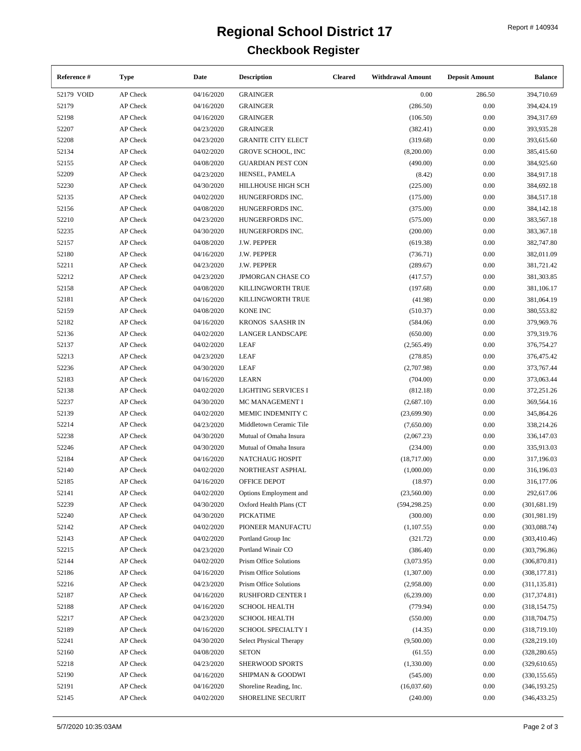| Reference # | <b>Type</b>      | Date       | <b>Description</b>          | <b>Cleared</b> | <b>Withdrawal Amount</b> | <b>Deposit Amount</b> | <b>Balance</b> |
|-------------|------------------|------------|-----------------------------|----------------|--------------------------|-----------------------|----------------|
| 52179 VOID  | AP Check         | 04/16/2020 | <b>GRAINGER</b>             |                | 0.00                     | 286.50                | 394,710.69     |
| 52179       | AP Check         | 04/16/2020 | <b>GRAINGER</b>             |                | (286.50)                 | 0.00                  | 394,424.19     |
| 52198       | AP Check         | 04/16/2020 | <b>GRAINGER</b>             |                | (106.50)                 | 0.00                  | 394,317.69     |
| 52207       | AP Check         | 04/23/2020 | <b>GRAINGER</b>             |                | (382.41)                 | 0.00                  | 393,935.28     |
| 52208       | AP Check         | 04/23/2020 | <b>GRANITE CITY ELECT</b>   |                | (319.68)                 | 0.00                  | 393,615.60     |
| 52134       | AP Check         | 04/02/2020 | <b>GROVE SCHOOL, INC</b>    |                | (8,200.00)               | 0.00                  | 385,415.60     |
| 52155       | AP Check         | 04/08/2020 | <b>GUARDIAN PEST CON</b>    |                | (490.00)                 | 0.00                  | 384,925.60     |
| 52209       | AP Check         | 04/23/2020 | HENSEL, PAMELA              |                | (8.42)                   | 0.00                  | 384,917.18     |
| 52230       | AP Check         | 04/30/2020 | HILLHOUSE HIGH SCH          |                | (225.00)                 | 0.00                  | 384,692.18     |
| 52135       | AP Check         | 04/02/2020 | HUNGERFORDS INC.            |                | (175.00)                 | 0.00                  | 384,517.18     |
| 52156       | AP Check         | 04/08/2020 | HUNGERFORDS INC.            |                | (375.00)                 | 0.00                  | 384, 142. 18   |
| 52210       | AP Check         | 04/23/2020 | HUNGERFORDS INC.            |                | (575.00)                 | 0.00                  | 383,567.18     |
| 52235       | AP Check         | 04/30/2020 | HUNGERFORDS INC.            |                | (200.00)                 | 0.00                  | 383, 367. 18   |
| 52157       | AP Check         | 04/08/2020 | J.W. PEPPER                 |                | (619.38)                 | 0.00                  | 382,747.80     |
| 52180       | AP Check         | 04/16/2020 | J.W. PEPPER                 |                | (736.71)                 | 0.00                  | 382,011.09     |
| 52211       | AP Check         | 04/23/2020 | J.W. PEPPER                 |                | (289.67)                 | 0.00                  | 381,721.42     |
| 52212       | AP Check         | 04/23/2020 | JPMORGAN CHASE CO           |                | (417.57)                 | 0.00                  | 381,303.85     |
| 52158       | AP Check         | 04/08/2020 | KILLINGWORTH TRUE           |                | (197.68)                 | 0.00                  | 381,106.17     |
| 52181       | AP Check         | 04/16/2020 | KILLINGWORTH TRUE           |                | (41.98)                  | 0.00                  | 381,064.19     |
| 52159       | AP Check         | 04/08/2020 | <b>KONE INC</b>             |                | (510.37)                 | 0.00                  | 380,553.82     |
| 52182       | AP Check         | 04/16/2020 | KRONOS SAASHR IN            |                | (584.06)                 | 0.00                  | 379,969.76     |
|             | AP Check         | 04/02/2020 | <b>LANGER LANDSCAPE</b>     |                | (650.00)                 | 0.00                  |                |
| 52136       |                  |            |                             |                |                          |                       | 379,319.76     |
| 52137       | AP Check         | 04/02/2020 | <b>LEAF</b>                 |                | (2,565.49)               | 0.00                  | 376,754.27     |
| 52213       | AP Check         | 04/23/2020 | <b>LEAF</b>                 |                | (278.85)                 | 0.00                  | 376,475.42     |
| 52236       | AP Check         | 04/30/2020 | LEAF                        |                | (2,707.98)               | 0.00                  | 373,767.44     |
| 52183       | AP Check         | 04/16/2020 | <b>LEARN</b>                |                | (704.00)                 | 0.00                  | 373,063.44     |
| 52138       | AP Check         | 04/02/2020 | <b>LIGHTING SERVICES I</b>  |                | (812.18)                 | 0.00                  | 372,251.26     |
| 52237       | AP Check         | 04/30/2020 | MC MANAGEMENT I             |                | (2,687.10)               | 0.00                  | 369,564.16     |
| 52139       | AP Check         | 04/02/2020 | MEMIC INDEMNITY C           |                | (23,699.90)              | 0.00                  | 345,864.26     |
| 52214       | AP Check         | 04/23/2020 | Middletown Ceramic Tile     |                | (7,650.00)               | 0.00                  | 338,214.26     |
| 52238       | AP Check         | 04/30/2020 | Mutual of Omaha Insura      |                | (2,067.23)               | 0.00                  | 336,147.03     |
| 52246       | AP Check         | 04/30/2020 | Mutual of Omaha Insura      |                | (234.00)                 | 0.00                  | 335,913.03     |
| 52184       | AP Check         | 04/16/2020 | NATCHAUG HOSPIT             |                | (18,717.00)              | 0.00                  | 317,196.03     |
| 52140       | AP Check         | 04/02/2020 | NORTHEAST ASPHAL            |                | (1,000.00)               | 0.00                  | 316,196.03     |
| 52185       | AP Check         | 04/16/2020 | OFFICE DEPOT                |                | (18.97)                  | 0.00                  | 316,177.06     |
| 52141       | AP Check         | 04/02/2020 | Options Employment and      |                | (23,560.00)              | 0.00                  | 292,617.06     |
| 52239       | ${\sf AP}$ Check | 04/30/2020 | Oxford Health Plans (CT     |                | (594, 298.25)            | 0.00                  | (301, 681.19)  |
| 52240       | AP Check         | 04/30/2020 | <b>PICKATIME</b>            |                | (300.00)                 | 0.00                  | (301, 981.19)  |
| 52142       | AP Check         | 04/02/2020 | PIONEER MANUFACTU           |                | (1, 107.55)              | 0.00                  | (303,088.74)   |
| 52143       | AP Check         | 04/02/2020 | Portland Group Inc          |                | (321.72)                 | 0.00                  | (303, 410.46)  |
| 52215       | AP Check         | 04/23/2020 | Portland Winair CO          |                | (386.40)                 | 0.00                  | (303,796.86)   |
| 52144       | AP Check         | 04/02/2020 | Prism Office Solutions      |                | (3,073.95)               | 0.00                  | (306, 870.81)  |
| 52186       | AP Check         | 04/16/2020 | Prism Office Solutions      |                | (1,307.00)               | 0.00                  | (308, 177.81)  |
| 52216       | AP Check         | 04/23/2020 | Prism Office Solutions      |                | (2,958.00)               | 0.00                  | (311, 135.81)  |
| 52187       | AP Check         | 04/16/2020 | <b>RUSHFORD CENTER I</b>    |                | (6,239.00)               | 0.00                  | (317, 374.81)  |
| 52188       | AP Check         | 04/16/2020 | <b>SCHOOL HEALTH</b>        |                | (779.94)                 | 0.00                  | (318, 154.75)  |
| 52217       | AP Check         | 04/23/2020 | <b>SCHOOL HEALTH</b>        |                | (550.00)                 | 0.00                  | (318, 704.75)  |
| 52189       | AP Check         | 04/16/2020 | <b>SCHOOL SPECIALTY I</b>   |                | (14.35)                  | 0.00                  | (318,719.10)   |
| 52241       | AP Check         | 04/30/2020 | Select Physical Therapy     |                | (9,500.00)               | 0.00                  | (328, 219.10)  |
| 52160       | AP Check         | 04/08/2020 | <b>SETON</b>                |                | (61.55)                  | 0.00                  | (328, 280.65)  |
| 52218       | AP Check         | 04/23/2020 | SHERWOOD SPORTS             |                | (1,330.00)               | 0.00                  | (329,610.65)   |
| 52190       | AP Check         | 04/16/2020 | <b>SHIPMAN &amp; GOODWI</b> |                | (545.00)                 | 0.00                  | (330, 155.65)  |
| 52191       | AP Check         | 04/16/2020 | Shoreline Reading, Inc.     |                | (16,037.60)              | 0.00                  | (346, 193.25)  |
| 52145       | AP Check         | 04/02/2020 | SHORELINE SECURIT           |                | (240.00)                 | 0.00                  | (346, 433.25)  |
|             |                  |            |                             |                |                          |                       |                |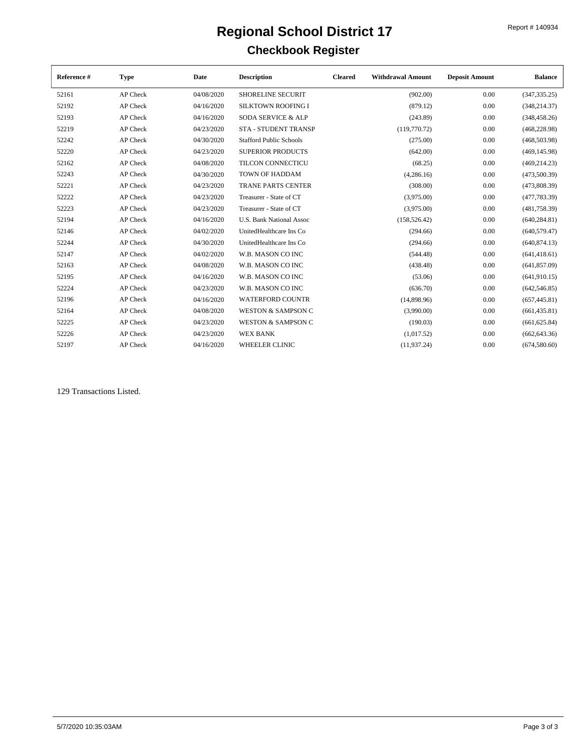| Reference # | <b>Type</b> | Date       | <b>Description</b>              | <b>Cleared</b> | <b>Withdrawal Amount</b> | <b>Deposit Amount</b> | <b>Balance</b> |
|-------------|-------------|------------|---------------------------------|----------------|--------------------------|-----------------------|----------------|
| 52161       | AP Check    | 04/08/2020 | <b>SHORELINE SECURIT</b>        |                | (902.00)                 | 0.00                  | (347, 335.25)  |
| 52192       | AP Check    | 04/16/2020 | <b>SILKTOWN ROOFING I</b>       |                | (879.12)                 | 0.00                  | (348, 214.37)  |
| 52193       | AP Check    | 04/16/2020 | <b>SODA SERVICE &amp; ALP</b>   |                | (243.89)                 | 0.00                  | (348, 458.26)  |
| 52219       | AP Check    | 04/23/2020 | <b>STA - STUDENT TRANSP</b>     |                | (119,770.72)             | 0.00                  | (468, 228.98)  |
| 52242       | AP Check    | 04/30/2020 | <b>Stafford Public Schools</b>  |                | (275.00)                 | 0.00                  | (468, 503.98)  |
| 52220       | AP Check    | 04/23/2020 | <b>SUPERIOR PRODUCTS</b>        |                | (642.00)                 | 0.00                  | (469, 145.98)  |
| 52162       | AP Check    | 04/08/2020 | <b>TILCON CONNECTICU</b>        |                | (68.25)                  | 0.00                  | (469, 214.23)  |
| 52243       | AP Check    | 04/30/2020 | <b>TOWN OF HADDAM</b>           |                | (4,286.16)               | 0.00                  | (473,500.39)   |
| 52221       | AP Check    | 04/23/2020 | <b>TRANE PARTS CENTER</b>       |                | (308.00)                 | 0.00                  | (473,808.39)   |
| 52222       | AP Check    | 04/23/2020 | Treasurer - State of CT         |                | (3,975.00)               | 0.00                  | (477, 783.39)  |
| 52223       | AP Check    | 04/23/2020 | Treasurer - State of CT         |                | (3,975.00)               | 0.00                  | (481, 758.39)  |
| 52194       | AP Check    | 04/16/2020 | <b>U.S. Bank National Assoc</b> |                | (158, 526.42)            | 0.00                  | (640, 284.81)  |
| 52146       | AP Check    | 04/02/2020 | UnitedHealthcare Ins Co         |                | (294.66)                 | 0.00                  | (640, 579.47)  |
| 52244       | AP Check    | 04/30/2020 | UnitedHealthcare Ins Co         |                | (294.66)                 | 0.00                  | (640, 874.13)  |
| 52147       | AP Check    | 04/02/2020 | W.B. MASON CO INC               |                | (544.48)                 | 0.00                  | (641, 418.61)  |
| 52163       | AP Check    | 04/08/2020 | W.B. MASON CO INC               |                | (438.48)                 | 0.00                  | (641, 857.09)  |
| 52195       | AP Check    | 04/16/2020 | W.B. MASON CO INC               |                | (53.06)                  | 0.00                  | (641,910.15)   |
| 52224       | AP Check    | 04/23/2020 | W.B. MASON CO INC               |                | (636.70)                 | 0.00                  | (642, 546.85)  |
| 52196       | AP Check    | 04/16/2020 | <b>WATERFORD COUNTR</b>         |                | (14,898.96)              | 0.00                  | (657, 445.81)  |
| 52164       | AP Check    | 04/08/2020 | <b>WESTON &amp; SAMPSON C</b>   |                | (3,990.00)               | 0.00                  | (661, 435.81)  |
| 52225       | AP Check    | 04/23/2020 | <b>WESTON &amp; SAMPSON C</b>   |                | (190.03)                 | 0.00                  | (661, 625.84)  |
| 52226       | AP Check    | 04/23/2020 | <b>WEX BANK</b>                 |                | (1,017.52)               | 0.00                  | (662, 643.36)  |
| 52197       | AP Check    | 04/16/2020 | <b>WHEELER CLINIC</b>           |                | (11, 937, 24)            | 0.00                  | (674,580.60)   |

129 Transactions Listed.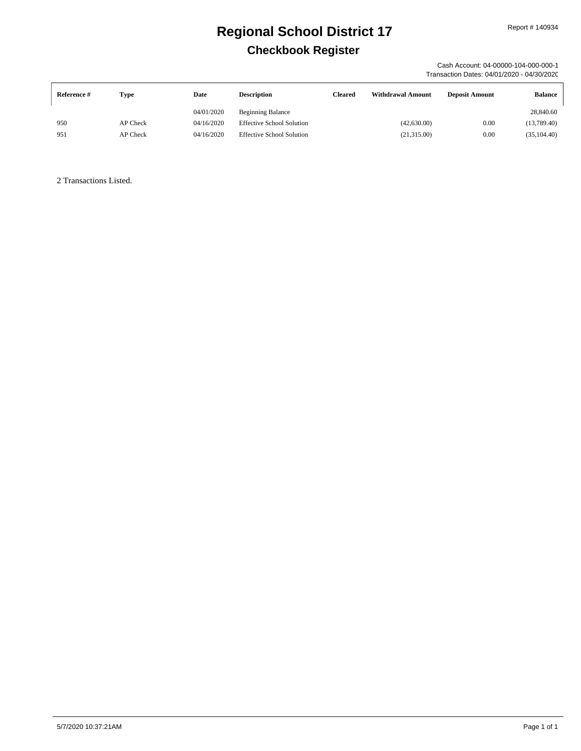Cash Account: 04-00000-104-000-000-1 Transaction Dates: 04/01/2020 - 04/30/2020

| Reference # | Type     | Date       | <b>Description</b>               | Cleared | <b>Withdrawal Amount</b> | <b>Deposit Amount</b> | <b>Balance</b> |
|-------------|----------|------------|----------------------------------|---------|--------------------------|-----------------------|----------------|
|             |          | 04/01/2020 | <b>Beginning Balance</b>         |         |                          |                       | 28,840.60      |
| 950         | AP Check | 04/16/2020 | <b>Effective School Solution</b> |         | (42,630.00)              | 0.00                  | (13,789.40)    |
| 951         | AP Check | 04/16/2020 | <b>Effective School Solution</b> |         | (21, 315.00)             | 0.00                  | (35, 104.40)   |

2 Transactions Listed.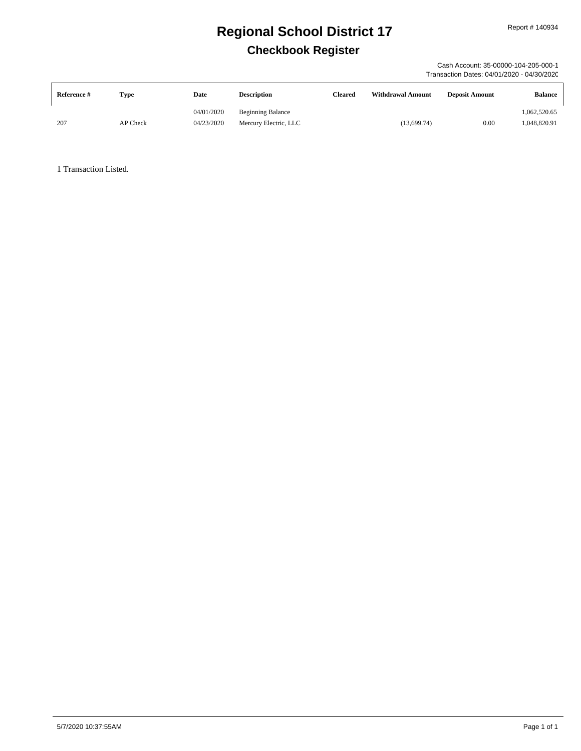Cash Account: 35-00000-104-205-000-1 Transaction Dates: 04/01/2020 - 04/30/2020

| Reference # | <b>Type</b> | Date       | <b>Description</b>       | Cleared | <b>Withdrawal Amount</b> | <b>Deposit Amount</b> | <b>Balance</b> |
|-------------|-------------|------------|--------------------------|---------|--------------------------|-----------------------|----------------|
|             |             | 04/01/2020 | <b>Beginning Balance</b> |         |                          |                       | 1,062,520.65   |
| 207         | AP Check    | 04/23/2020 | Mercury Electric, LLC    |         | (13, 699.74)             | 0.00                  | 1,048,820.91   |

1 Transaction Listed.